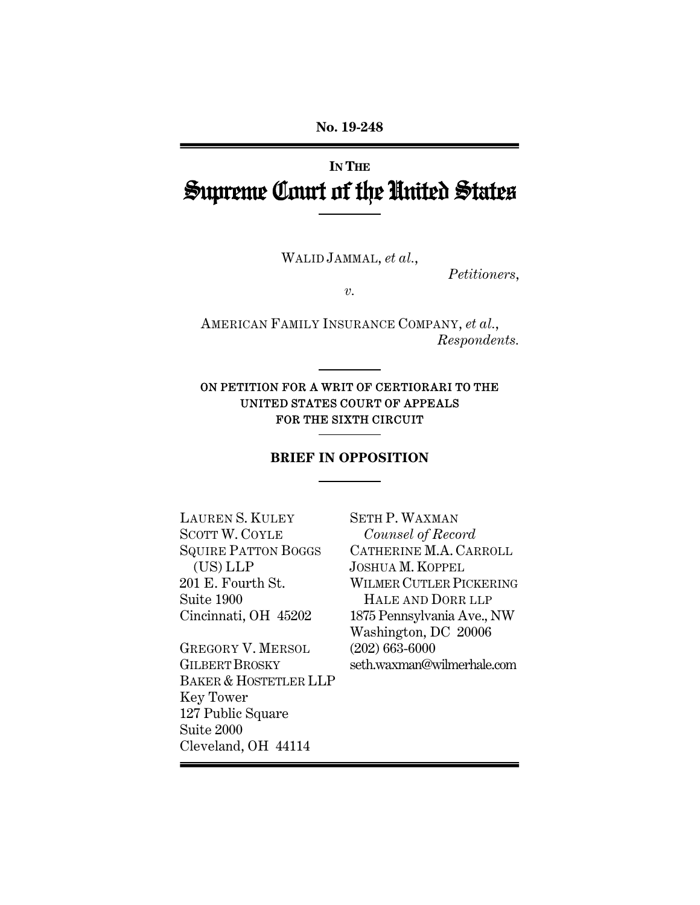# **IN THE** Supreme Court of the United States

WALID JAMMAL, *et al.*,

*Petitioners*,

*v.* 

AMERICAN FAMILY INSURANCE COMPANY, *et al.*, *Respondents.* 

### ON PETITION FOR A WRIT OF CERTIORARI TO THE UNITED STATES COURT OF APPEALS FOR THE SIXTH CIRCUIT

### **BRIEF IN OPPOSITION**

LAUREN S. KULEY SCOTT W. COYLE SQUIRE PATTON BOGGS (US) LLP 201 E. Fourth St. Suite 1900 Cincinnati, OH 45202

GREGORY V. MERSOL GILBERT BROSKY BAKER & HOSTETLER LLP Key Tower 127 Public Square Suite 2000 Cleveland, OH 44114

SETH P. WAXMAN *Counsel of Record* CATHERINE M.A. CARROLL JOSHUA M. KOPPEL WILMER CUTLER PICKERING HALE AND DORR LLP 1875 Pennsylvania Ave., NW Washington, DC 20006 (202) 663-6000 seth.waxman@wilmerhale.com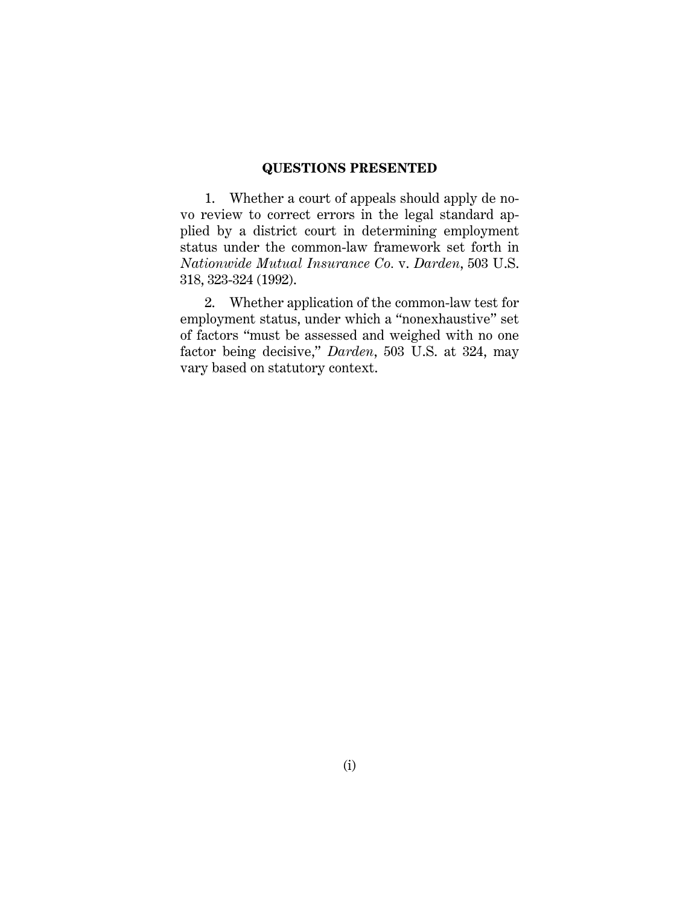#### **QUESTIONS PRESENTED**

1. Whether a court of appeals should apply de novo review to correct errors in the legal standard applied by a district court in determining employment status under the common-law framework set forth in *Nationwide Mutual Insurance Co.* v. *Darden*, 503 U.S. 318, 323-324 (1992).

2. Whether application of the common-law test for employment status, under which a "nonexhaustive" set of factors "must be assessed and weighed with no one factor being decisive," *Darden*, 503 U.S. at 324, may vary based on statutory context.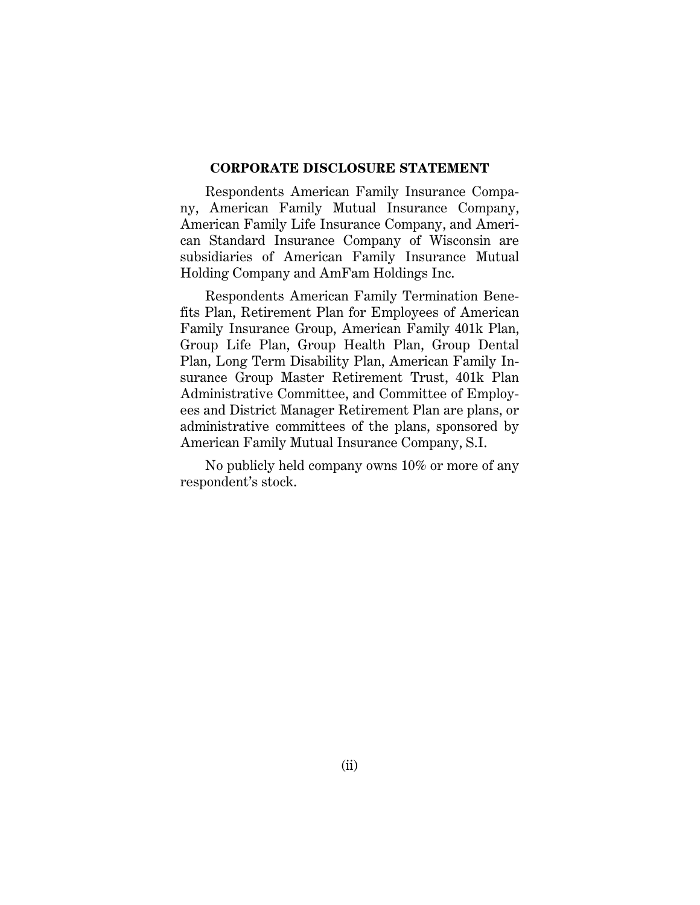#### **CORPORATE DISCLOSURE STATEMENT**

Respondents American Family Insurance Company, American Family Mutual Insurance Company, American Family Life Insurance Company, and American Standard Insurance Company of Wisconsin are subsidiaries of American Family Insurance Mutual Holding Company and AmFam Holdings Inc.

Respondents American Family Termination Benefits Plan, Retirement Plan for Employees of American Family Insurance Group, American Family 401k Plan, Group Life Plan, Group Health Plan, Group Dental Plan, Long Term Disability Plan, American Family Insurance Group Master Retirement Trust, 401k Plan Administrative Committee, and Committee of Employees and District Manager Retirement Plan are plans, or administrative committees of the plans, sponsored by American Family Mutual Insurance Company, S.I.

No publicly held company owns 10% or more of any respondent's stock.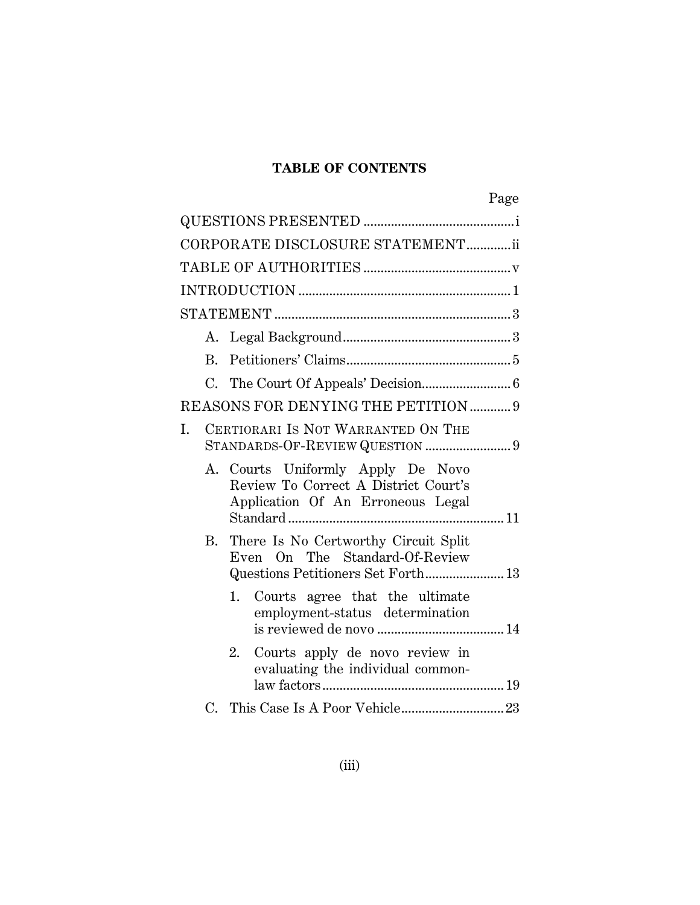# **TABLE OF CONTENTS**

|                                  |    |                                                                                                                | Page |  |
|----------------------------------|----|----------------------------------------------------------------------------------------------------------------|------|--|
|                                  |    |                                                                                                                |      |  |
| CORPORATE DISCLOSURE STATEMENTii |    |                                                                                                                |      |  |
|                                  |    |                                                                                                                |      |  |
|                                  |    |                                                                                                                |      |  |
|                                  |    |                                                                                                                |      |  |
|                                  |    |                                                                                                                |      |  |
|                                  | B. |                                                                                                                |      |  |
|                                  |    |                                                                                                                |      |  |
|                                  |    | REASONS FOR DENYING THE PETITION  9                                                                            |      |  |
| I.                               |    | CERTIORARI IS NOT WARRANTED ON THE<br>STANDARDS-OF-REVIEW QUESTION 9                                           |      |  |
|                                  |    | A. Courts Uniformly Apply De Novo<br>Review To Correct A District Court's<br>Application Of An Erroneous Legal |      |  |
|                                  | В. | There Is No Certworthy Circuit Split<br>Even On The Standard-Of-Review<br>Questions Petitioners Set Forth 13   |      |  |
|                                  |    | 1. Courts agree that the ultimate<br>employment-status determination                                           |      |  |
|                                  |    | Courts apply de novo review in<br>2.<br>evaluating the individual common-                                      |      |  |
|                                  |    |                                                                                                                |      |  |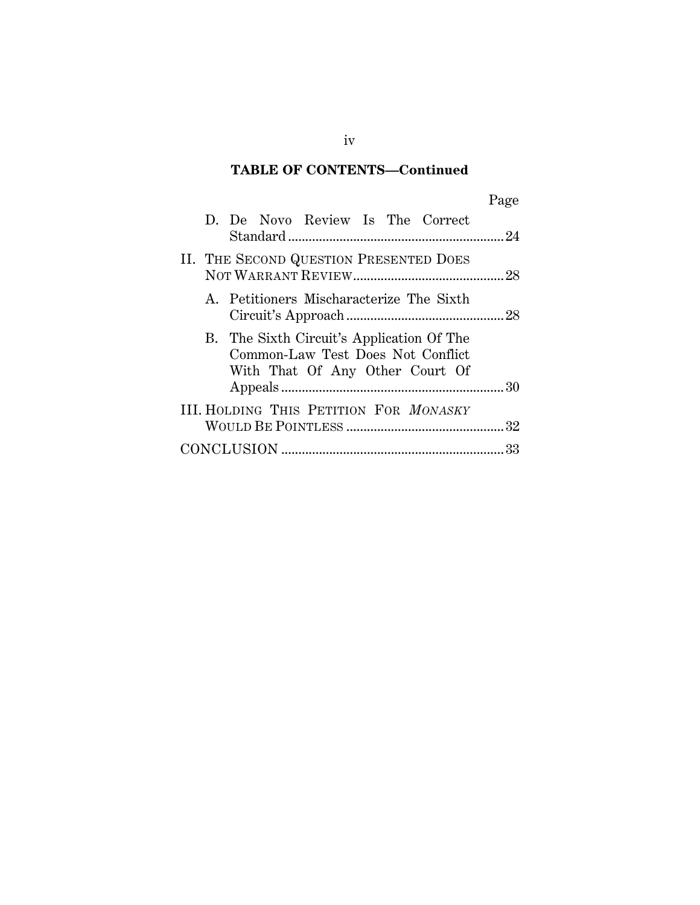# **TABLE OF CONTENTS—Continued**

| v |
|---|
|---|

|  |  | D. De Novo Review Is The Correct                                                                                  |  |  |  |
|--|--|-------------------------------------------------------------------------------------------------------------------|--|--|--|
|  |  | II. THE SECOND QUESTION PRESENTED DOES                                                                            |  |  |  |
|  |  | A. Petitioners Mischaracterize The Sixth                                                                          |  |  |  |
|  |  | B. The Sixth Circuit's Application Of The<br>Common-Law Test Does Not Conflict<br>With That Of Any Other Court Of |  |  |  |
|  |  |                                                                                                                   |  |  |  |
|  |  | <b>III. HOLDING THIS PETITION FOR MONASKY</b>                                                                     |  |  |  |
|  |  |                                                                                                                   |  |  |  |

iv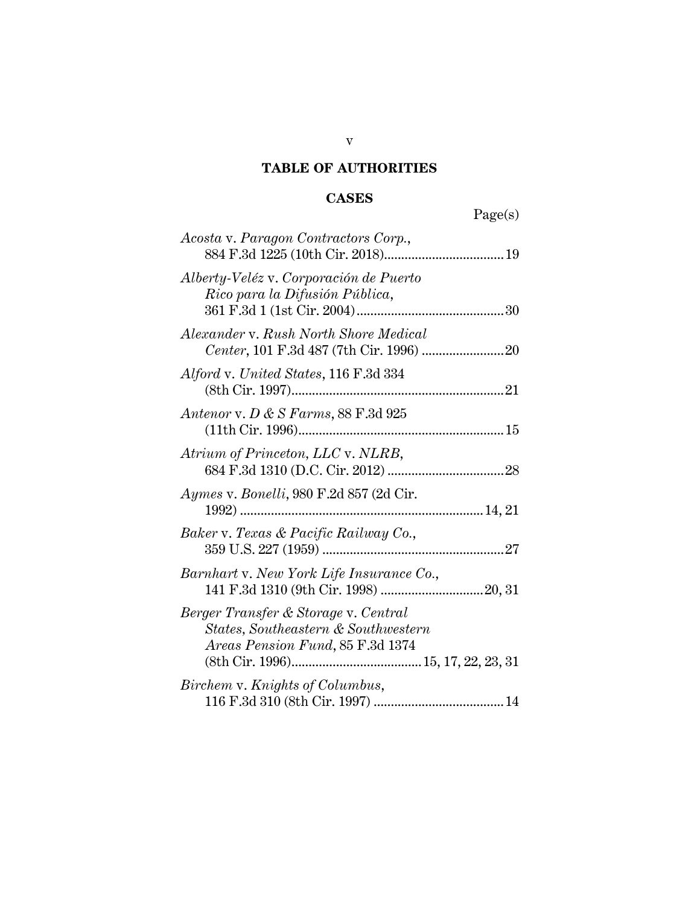# **TABLE OF AUTHORITIES**

# **CASES**

| Page(s)                                                                                                         |
|-----------------------------------------------------------------------------------------------------------------|
| Acosta v. Paragon Contractors Corp.,                                                                            |
| Alberty-Veléz v. Corporación de Puerto<br>Rico para la Difusión Pública,                                        |
| Alexander v. Rush North Shore Medical                                                                           |
| Alford v. United States, 116 F.3d 334                                                                           |
| Antenor v. D & S Farms, $88$ F.3d $925$                                                                         |
| Atrium of Princeton, LLC v. NLRB,                                                                               |
| <i>Aymes v. Bonelli, 980 F.2d 857 (2d Cir.</i>                                                                  |
| Baker v. Texas & Pacific Railway Co.,                                                                           |
| Barnhart v. New York Life Insurance Co.,                                                                        |
| Berger Transfer & Storage v. Central<br>States, Southeastern & Southwestern<br>Areas Pension Fund, 85 F.3d 1374 |
| Birchem v. Knights of Columbus,                                                                                 |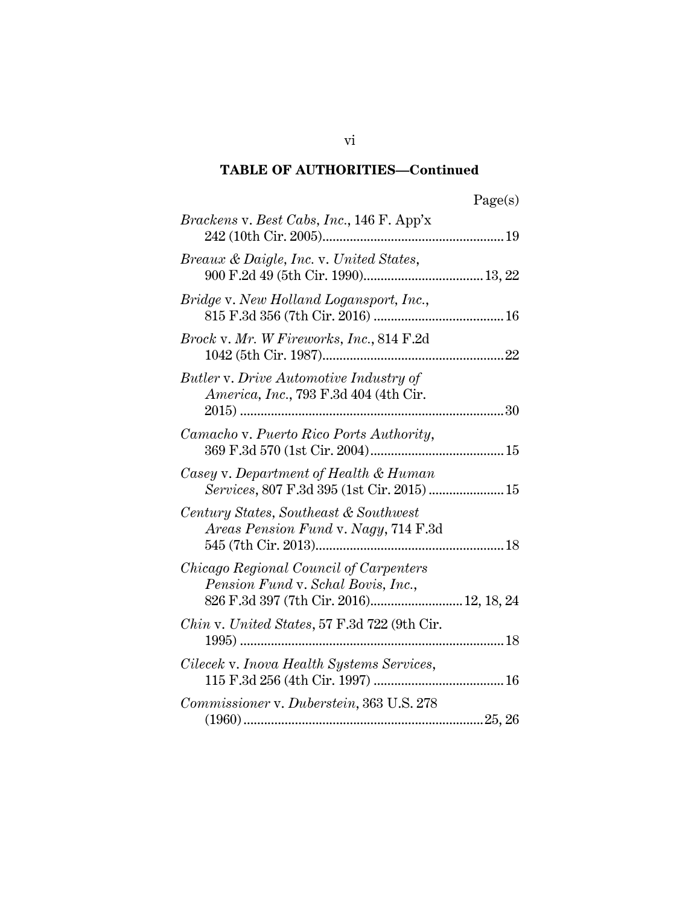| Page(s) |
|---------|
|---------|

| <i>Brackens v. Best Cabs, Inc.,</i> 146 F. App'x                                                                        |
|-------------------------------------------------------------------------------------------------------------------------|
| <i>Breaux &amp; Daigle, Inc. v. United States,</i>                                                                      |
| Bridge v. New Holland Logansport, Inc.,                                                                                 |
| Brock v. Mr. W Fireworks, Inc., 814 F.2d                                                                                |
| Butler v. Drive Automotive Industry of<br><i>America, Inc., 793 F.3d 404 (4th Cir.</i><br>30                            |
| Camacho v. Puerto Rico Ports Authority,                                                                                 |
| Casey v. Department of Health & Human<br>Services, 807 F.3d 395 (1st Cir. 2015) 15                                      |
| Century States, Southeast & Southwest<br><i>Areas Pension Fund v. Nagy, 714 F.3d</i>                                    |
| Chicago Regional Council of Carpenters<br>Pension Fund v. Schal Bovis, Inc.,<br>826 F.3d 397 (7th Cir. 2016) 12, 18, 24 |
| <i>Chin</i> v. United States, 57 F.3d 722 (9th Cir.                                                                     |
| Cilecek v. Inova Health Systems Services,                                                                               |
| Commissioner v. Duberstein, 363 U.S. 278                                                                                |

vi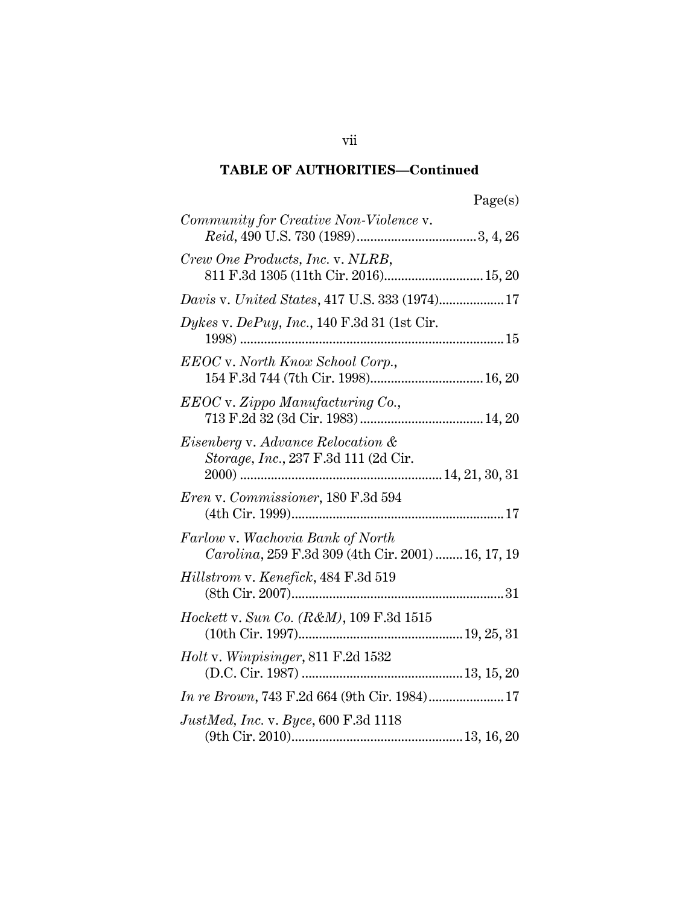| aoo<br>u<br>c |
|---------------|
|---------------|

| Community for Creative Non-Violence v.                                                 |
|----------------------------------------------------------------------------------------|
|                                                                                        |
| Crew One Products, Inc. v. NLRB,<br>811 F.3d 1305 (11th Cir. 2016) 15, 20              |
| Davis v. United States, 417 U.S. 333 (1974) 17                                         |
| Dykes v. DePuy, Inc., 140 F.3d 31 (1st Cir.                                            |
| EEOC v. North Knox School Corp.,                                                       |
| EEOC v. Zippo Manufacturing Co.,                                                       |
| <i>Eisenberg v. Advance Relocation &amp;</i><br>Storage, Inc., 237 F.3d 111 (2d Cir.   |
| Eren v. Commissioner, 180 F.3d 594                                                     |
| Farlow v. Wachovia Bank of North<br>Carolina, 259 F.3d 309 (4th Cir. 2001)  16, 17, 19 |
| Hillstrom v. Kenefick, 484 F.3d 519<br>$(8{\rm th}\ {\rm Cir},\ 2007)31$               |
| <i>Hockett v. Sun Co. (R&amp;M),</i> 109 F.3d 1515                                     |
|                                                                                        |
| In re Brown, 743 F.2d 664 (9th Cir. 1984) 17                                           |
| <i>JustMed, Inc. v. Byce, 600 F.3d 1118</i>                                            |

vii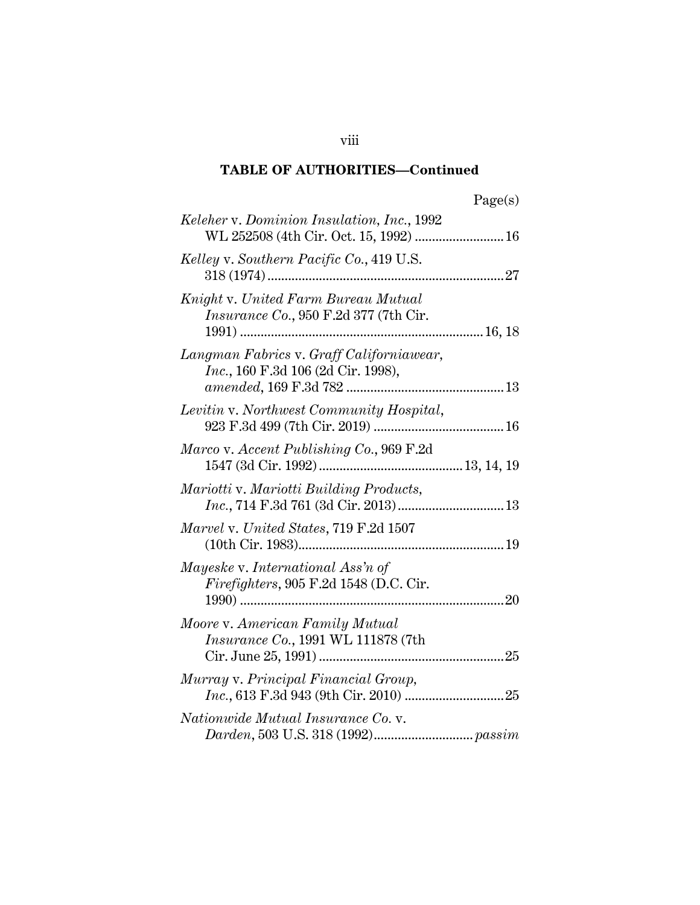| Keleher v. Dominion Insulation, Inc., 1992                                                      |  |
|-------------------------------------------------------------------------------------------------|--|
| Kelley v. Southern Pacific Co., 419 U.S.                                                        |  |
| Knight v. United Farm Bureau Mutual<br>Insurance Co., 950 F.2d 377 (7th Cir.<br>1991)<br>16, 18 |  |
| Langman Fabrics v. Graff Californiawear,<br><i>Inc.</i> , 160 F.3d 106 (2d Cir. 1998),          |  |
| Levitin v. Northwest Community Hospital,                                                        |  |
| Marco v. Accent Publishing Co., 969 F.2d                                                        |  |
| Mariotti v. Mariotti Building Products,<br>Inc., 714 F.3d 761 (3d Cir. 2013) 13                 |  |
| Marvel v. United States, 719 F.2d 1507                                                          |  |
| Mayeske v. International Ass'n of<br>Firefighters, 905 F.2d 1548 (D.C. Cir.                     |  |
| Moore v. American Family Mutual<br><i>Insurance Co., 1991 WL 111878 (7th</i>                    |  |
| Murray v. Principal Financial Group,                                                            |  |
| Nationwide Mutual Insurance Co. v.                                                              |  |

viii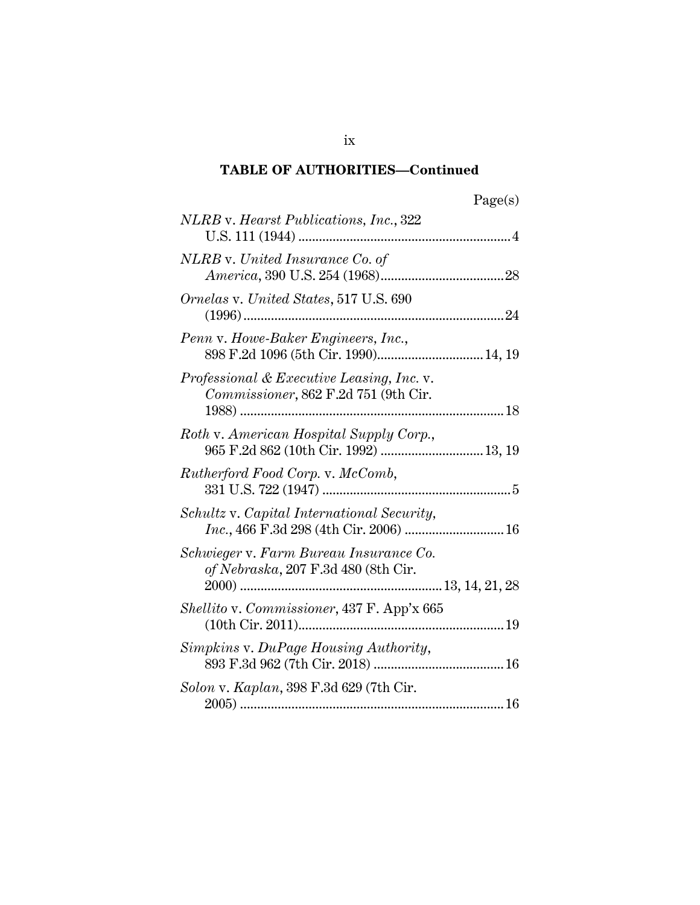| яσе<br>÷ |
|----------|
|----------|

| NLRB v. Hearst Publications, Inc., 322                                            |
|-----------------------------------------------------------------------------------|
| NLRB v. United Insurance Co. of                                                   |
| <i>Ornelas v. United States,</i> 517 U.S. 690                                     |
| Penn v. Howe-Baker Engineers, Inc.,<br>898 F.2d 1096 (5th Cir. 1990) 14, 19       |
| Professional & Executive Leasing, Inc. v.<br>Commissioner, 862 F.2d 751 (9th Cir. |
| Roth v. American Hospital Supply Corp.,<br>965 F.2d 862 (10th Cir. 1992)  13, 19  |
| Rutherford Food Corp. v. McComb,                                                  |
| Schultz v. Capital International Security,                                        |
| Schwieger v. Farm Bureau Insurance Co.<br>of Nebraska, 207 F.3d 480 (8th Cir.     |
| Shellito v. Commissioner, 437 F. App'x 665                                        |
| Simpkins v. DuPage Housing Authority,                                             |
| Solon v. Kaplan, 398 F.3d 629 (7th Cir.                                           |

ix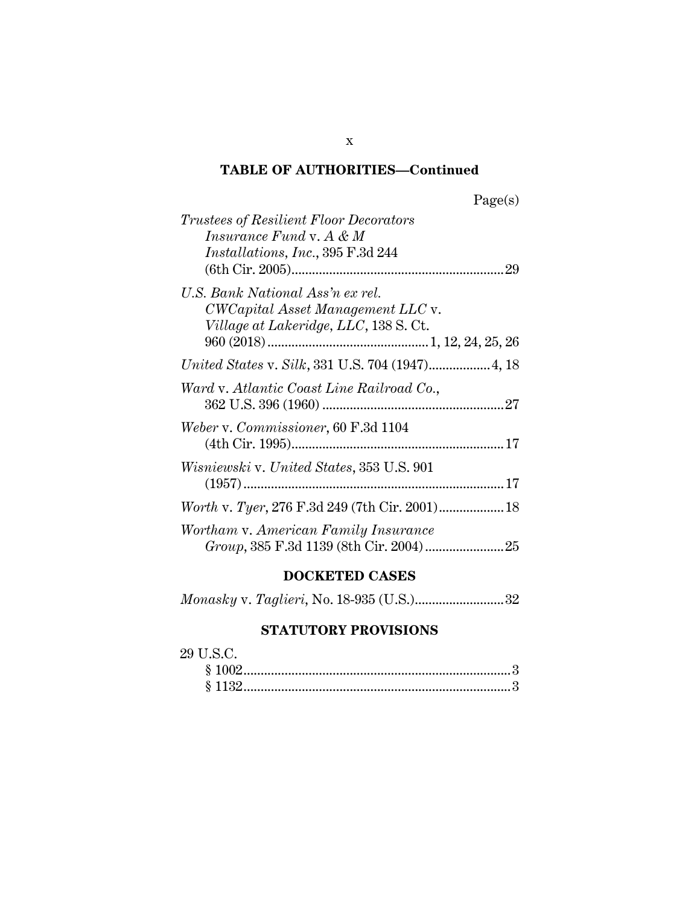| age(s) |
|--------|
|--------|

| <i>Trustees of Resilient Floor Decorators</i><br><i>Insurance Fund</i> v. $A \& M$<br><i>Installations, Inc., 395 F.3d 244</i> |
|--------------------------------------------------------------------------------------------------------------------------------|
| U.S. Bank National Ass'n ex rel.<br>CWCapital Asset Management LLC v.<br>Village at Lakeridge, LLC, 138 S.Ct.                  |
|                                                                                                                                |
| Ward v. Atlantic Coast Line Railroad Co.,                                                                                      |
| Weber v. Commissioner, 60 F.3d 1104                                                                                            |
| <i>Wisniewski</i> v. United States, 353 U.S. 901                                                                               |
|                                                                                                                                |
| Wortham v. American Family Insurance                                                                                           |

# **DOCKETED CASES**

|--|--|--|--|--|

# **STATUTORY PROVISIONS**

| 29 U.S.C. |  |
|-----------|--|
| \$1002    |  |
| \$1132    |  |

x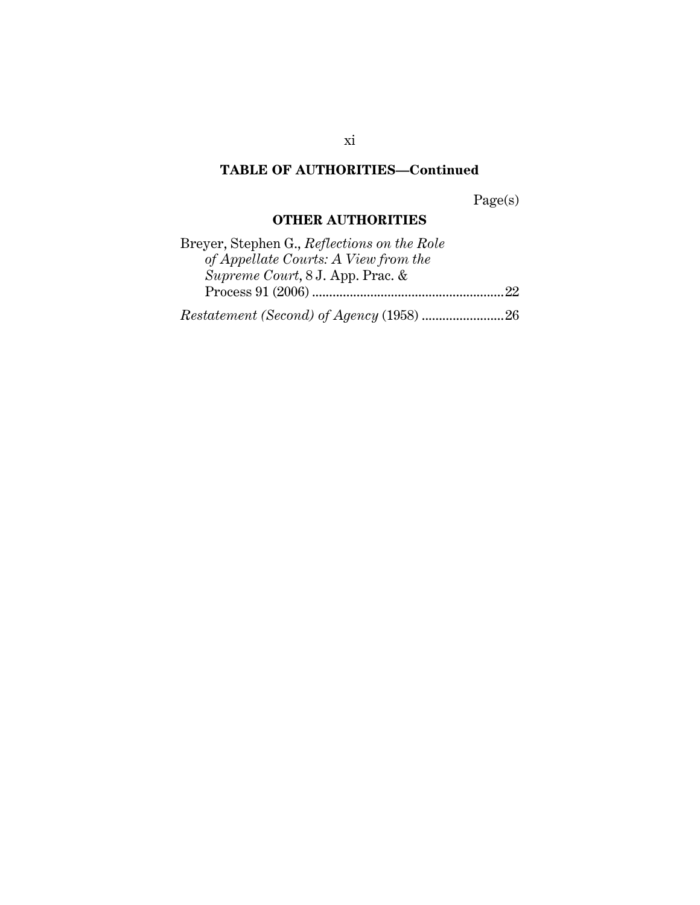Page(s)

# **OTHER AUTHORITIES**

| Breyer, Stephen G., Reflections on the Role |  |
|---------------------------------------------|--|
| of Appellate Courts: A View from the        |  |
| <i>Supreme Court, 8 J. App. Prac. &amp;</i> |  |
|                                             |  |
|                                             |  |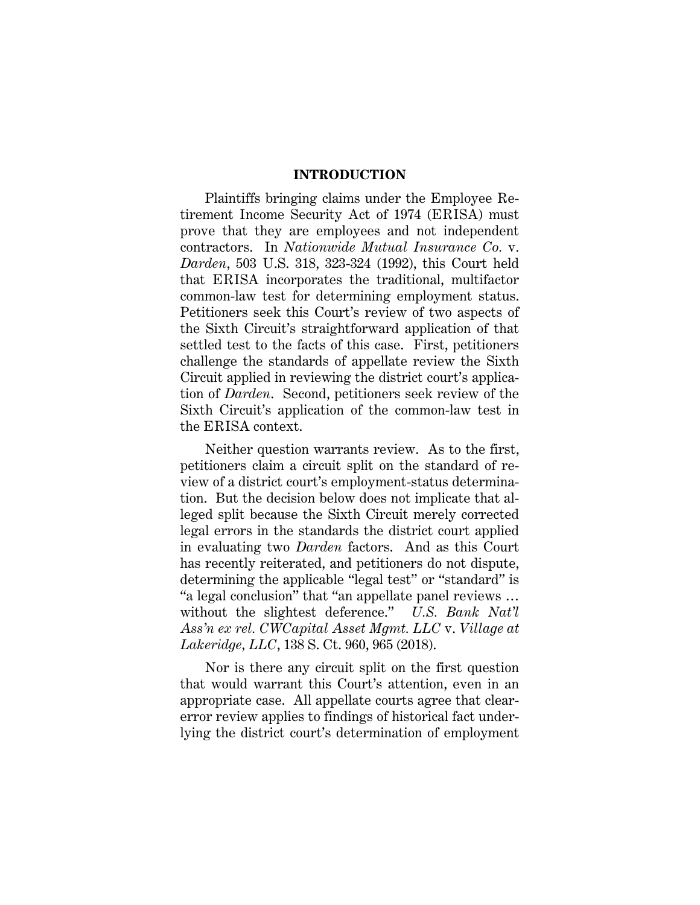#### **INTRODUCTION**

Plaintiffs bringing claims under the Employee Retirement Income Security Act of 1974 (ERISA) must prove that they are employees and not independent contractors. In *Nationwide Mutual Insurance Co.* v. *Darden*, 503 U.S. 318, 323-324 (1992), this Court held that ERISA incorporates the traditional, multifactor common-law test for determining employment status. Petitioners seek this Court's review of two aspects of the Sixth Circuit's straightforward application of that settled test to the facts of this case. First, petitioners challenge the standards of appellate review the Sixth Circuit applied in reviewing the district court's application of *Darden*. Second, petitioners seek review of the Sixth Circuit's application of the common-law test in the ERISA context.

Neither question warrants review. As to the first, petitioners claim a circuit split on the standard of review of a district court's employment-status determination. But the decision below does not implicate that alleged split because the Sixth Circuit merely corrected legal errors in the standards the district court applied in evaluating two *Darden* factors. And as this Court has recently reiterated, and petitioners do not dispute, determining the applicable "legal test" or "standard" is "a legal conclusion" that "an appellate panel reviews … without the slightest deference." *U.S. Bank Nat'l Ass'n ex rel. CWCapital Asset Mgmt. LLC* v. *Village at Lakeridge, LLC*, 138 S. Ct. 960, 965 (2018).

Nor is there any circuit split on the first question that would warrant this Court's attention, even in an appropriate case. All appellate courts agree that clearerror review applies to findings of historical fact underlying the district court's determination of employment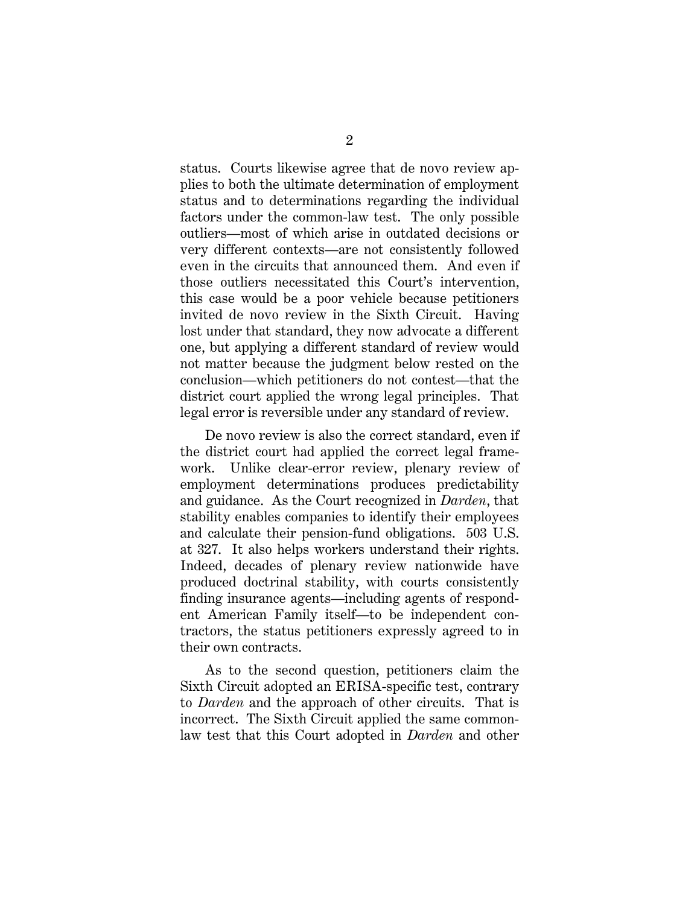status. Courts likewise agree that de novo review applies to both the ultimate determination of employment status and to determinations regarding the individual factors under the common-law test. The only possible outliers—most of which arise in outdated decisions or very different contexts—are not consistently followed even in the circuits that announced them. And even if those outliers necessitated this Court's intervention, this case would be a poor vehicle because petitioners invited de novo review in the Sixth Circuit. Having lost under that standard, they now advocate a different one, but applying a different standard of review would not matter because the judgment below rested on the conclusion—which petitioners do not contest—that the district court applied the wrong legal principles. That legal error is reversible under any standard of review.

De novo review is also the correct standard, even if the district court had applied the correct legal framework. Unlike clear-error review, plenary review of employment determinations produces predictability and guidance. As the Court recognized in *Darden*, that stability enables companies to identify their employees and calculate their pension-fund obligations. 503 U.S. at 327. It also helps workers understand their rights. Indeed, decades of plenary review nationwide have produced doctrinal stability, with courts consistently finding insurance agents—including agents of respondent American Family itself—to be independent contractors, the status petitioners expressly agreed to in their own contracts.

As to the second question, petitioners claim the Sixth Circuit adopted an ERISA-specific test, contrary to *Darden* and the approach of other circuits. That is incorrect. The Sixth Circuit applied the same commonlaw test that this Court adopted in *Darden* and other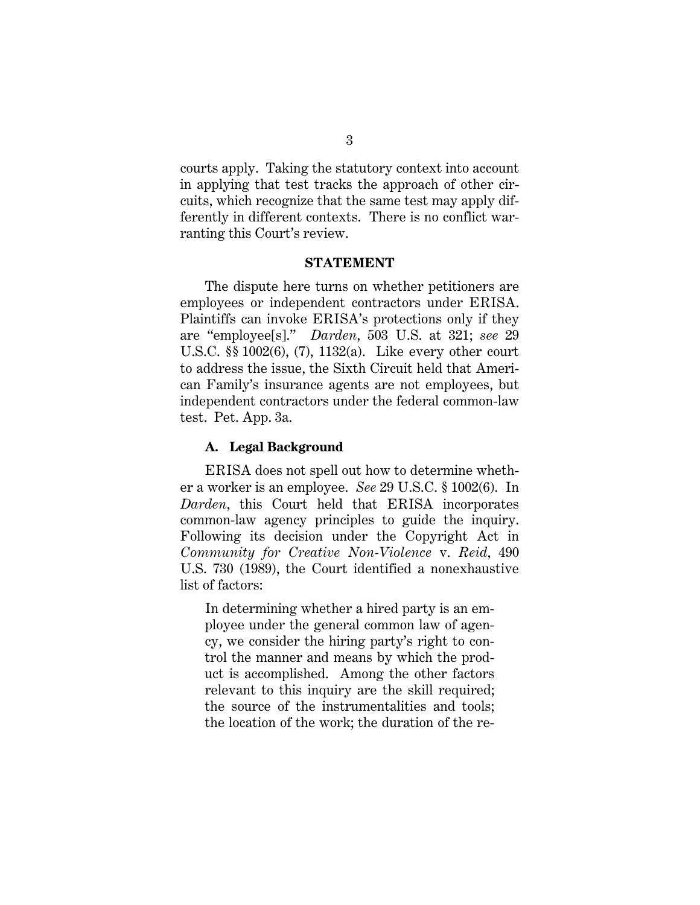courts apply. Taking the statutory context into account in applying that test tracks the approach of other circuits, which recognize that the same test may apply differently in different contexts. There is no conflict warranting this Court's review.

#### **STATEMENT**

The dispute here turns on whether petitioners are employees or independent contractors under ERISA. Plaintiffs can invoke ERISA's protections only if they are "employee[s]." *Darden*, 503 U.S. at 321; *see* 29 U.S.C. §§ 1002(6), (7), 1132(a). Like every other court to address the issue, the Sixth Circuit held that American Family's insurance agents are not employees, but independent contractors under the federal common-law test. Pet. App. 3a.

#### **A. Legal Background**

ERISA does not spell out how to determine whether a worker is an employee. *See* 29 U.S.C. § 1002(6). In *Darden*, this Court held that ERISA incorporates common-law agency principles to guide the inquiry. Following its decision under the Copyright Act in *Community for Creative Non-Violence* v. *Reid*, 490 U.S. 730 (1989), the Court identified a nonexhaustive list of factors:

In determining whether a hired party is an employee under the general common law of agency, we consider the hiring party's right to control the manner and means by which the product is accomplished. Among the other factors relevant to this inquiry are the skill required; the source of the instrumentalities and tools; the location of the work; the duration of the re-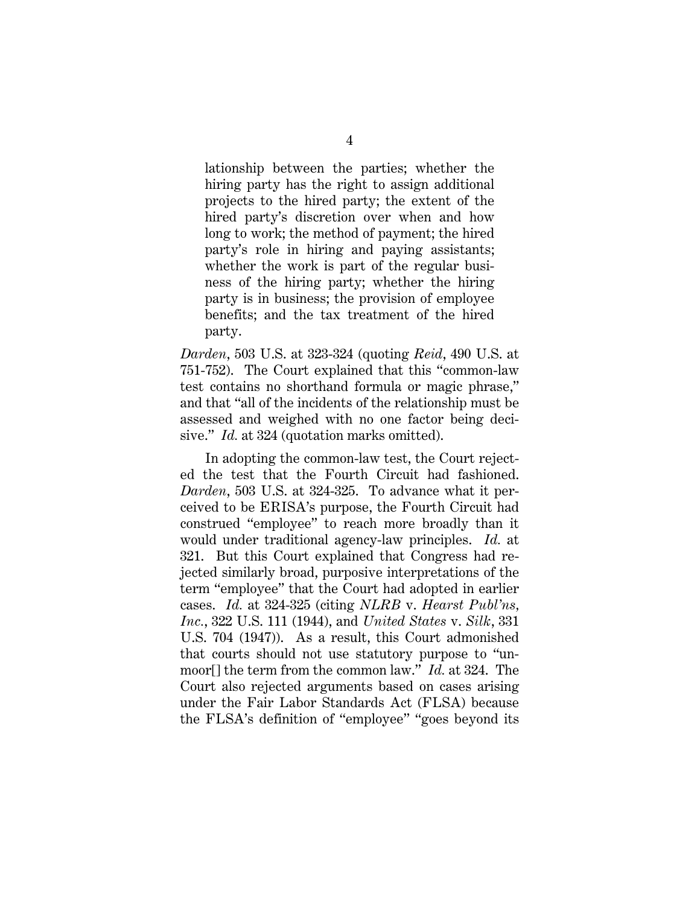lationship between the parties; whether the hiring party has the right to assign additional projects to the hired party; the extent of the hired party's discretion over when and how long to work; the method of payment; the hired party's role in hiring and paying assistants; whether the work is part of the regular business of the hiring party; whether the hiring party is in business; the provision of employee benefits; and the tax treatment of the hired party.

*Darden*, 503 U.S. at 323-324 (quoting *Reid*, 490 U.S. at 751-752). The Court explained that this "common-law test contains no shorthand formula or magic phrase," and that "all of the incidents of the relationship must be assessed and weighed with no one factor being decisive." *Id.* at 324 (quotation marks omitted).

In adopting the common-law test, the Court rejected the test that the Fourth Circuit had fashioned. *Darden*, 503 U.S. at 324-325. To advance what it perceived to be ERISA's purpose, the Fourth Circuit had construed "employee" to reach more broadly than it would under traditional agency-law principles. *Id.* at 321. But this Court explained that Congress had rejected similarly broad, purposive interpretations of the term "employee" that the Court had adopted in earlier cases. *Id.* at 324-325 (citing *NLRB* v. *Hearst Publ'ns, Inc.*, 322 U.S. 111 (1944), and *United States* v. *Silk*, 331 U.S. 704 (1947)). As a result, this Court admonished that courts should not use statutory purpose to "unmoor[] the term from the common law." *Id.* at 324. The Court also rejected arguments based on cases arising under the Fair Labor Standards Act (FLSA) because the FLSA's definition of "employee" "goes beyond its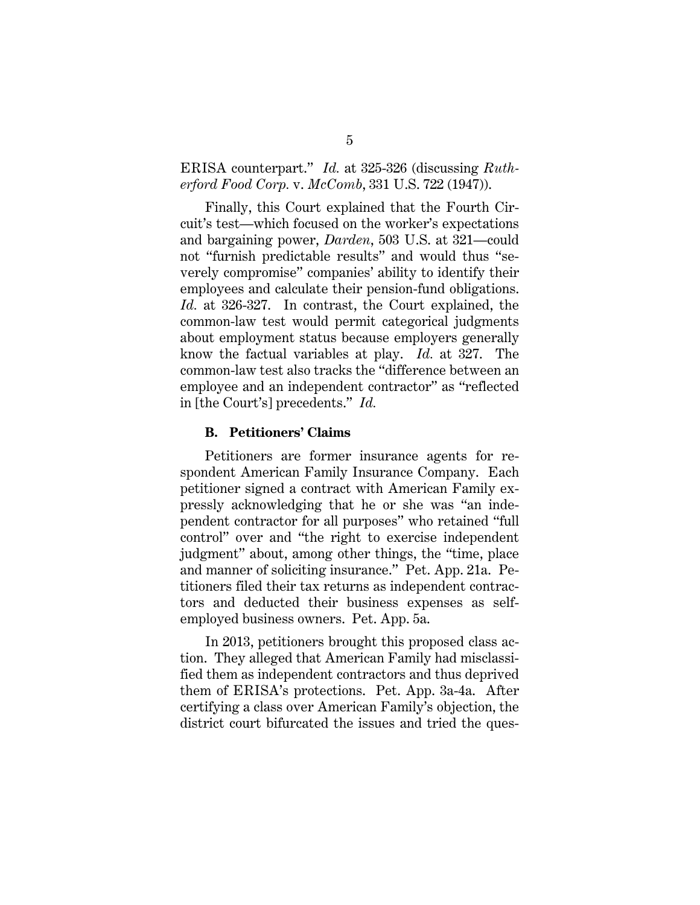### ERISA counterpart." *Id.* at 325-326 (discussing *Rutherford Food Corp.* v. *McComb*, 331 U.S. 722 (1947)).

Finally, this Court explained that the Fourth Circuit's test—which focused on the worker's expectations and bargaining power, *Darden*, 503 U.S. at 321—could not "furnish predictable results" and would thus "severely compromise" companies' ability to identify their employees and calculate their pension-fund obligations. *Id.* at 326-327. In contrast, the Court explained, the common-law test would permit categorical judgments about employment status because employers generally know the factual variables at play. *Id.* at 327. The common-law test also tracks the "difference between an employee and an independent contractor" as "reflected in [the Court's] precedents." *Id.*

#### **B. Petitioners' Claims**

Petitioners are former insurance agents for respondent American Family Insurance Company. Each petitioner signed a contract with American Family expressly acknowledging that he or she was "an independent contractor for all purposes" who retained "full control" over and "the right to exercise independent judgment" about, among other things, the "time, place and manner of soliciting insurance." Pet. App. 21a. Petitioners filed their tax returns as independent contractors and deducted their business expenses as selfemployed business owners. Pet. App. 5a.

In 2013, petitioners brought this proposed class action. They alleged that American Family had misclassified them as independent contractors and thus deprived them of ERISA's protections. Pet. App. 3a-4a. After certifying a class over American Family's objection, the district court bifurcated the issues and tried the ques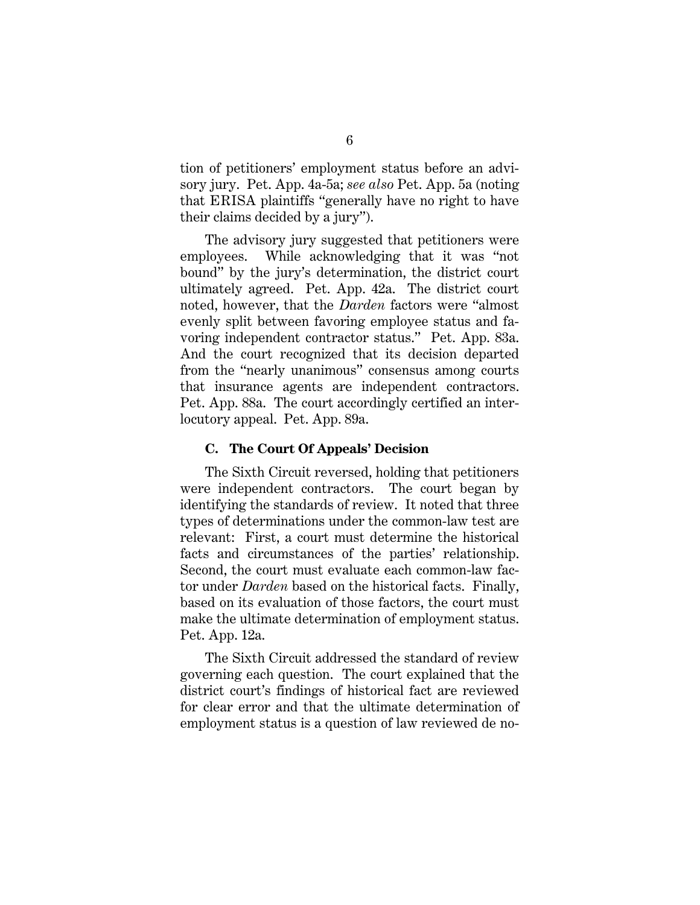tion of petitioners' employment status before an advisory jury. Pet. App. 4a-5a; *see also* Pet. App. 5a (noting that ERISA plaintiffs "generally have no right to have their claims decided by a jury").

The advisory jury suggested that petitioners were employees. While acknowledging that it was "not bound" by the jury's determination, the district court ultimately agreed. Pet. App. 42a. The district court noted, however, that the *Darden* factors were "almost evenly split between favoring employee status and favoring independent contractor status." Pet. App. 83a. And the court recognized that its decision departed from the "nearly unanimous" consensus among courts that insurance agents are independent contractors. Pet. App. 88a. The court accordingly certified an interlocutory appeal. Pet. App. 89a.

#### **C. The Court Of Appeals' Decision**

The Sixth Circuit reversed, holding that petitioners were independent contractors. The court began by identifying the standards of review. It noted that three types of determinations under the common-law test are relevant: First, a court must determine the historical facts and circumstances of the parties' relationship. Second, the court must evaluate each common-law factor under *Darden* based on the historical facts. Finally, based on its evaluation of those factors, the court must make the ultimate determination of employment status. Pet. App. 12a.

The Sixth Circuit addressed the standard of review governing each question. The court explained that the district court's findings of historical fact are reviewed for clear error and that the ultimate determination of employment status is a question of law reviewed de no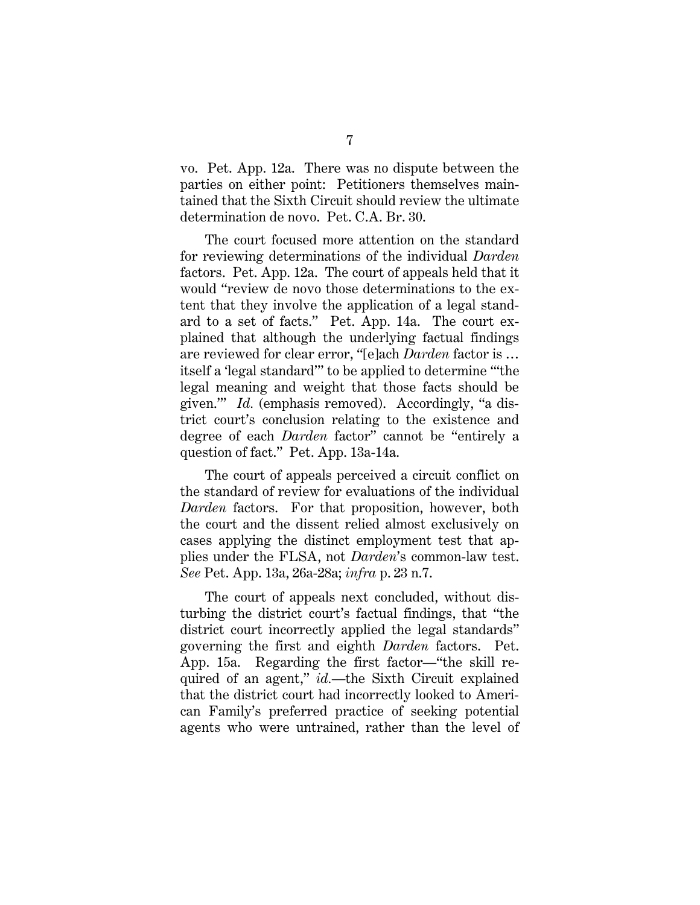vo. Pet. App. 12a. There was no dispute between the parties on either point: Petitioners themselves maintained that the Sixth Circuit should review the ultimate determination de novo. Pet. C.A. Br. 30.

The court focused more attention on the standard for reviewing determinations of the individual *Darden* factors. Pet. App. 12a. The court of appeals held that it would "review de novo those determinations to the extent that they involve the application of a legal standard to a set of facts." Pet. App. 14a. The court explained that although the underlying factual findings are reviewed for clear error, "[e]ach *Darden* factor is … itself a 'legal standard'" to be applied to determine "'the legal meaning and weight that those facts should be given.'" *Id.* (emphasis removed). Accordingly, "a district court's conclusion relating to the existence and degree of each *Darden* factor" cannot be "entirely a question of fact." Pet. App. 13a-14a.

The court of appeals perceived a circuit conflict on the standard of review for evaluations of the individual *Darden* factors. For that proposition, however, both the court and the dissent relied almost exclusively on cases applying the distinct employment test that applies under the FLSA, not *Darden*'s common-law test. *See* Pet. App. 13a, 26a-28a; *infra* p. 23 n.7.

The court of appeals next concluded, without disturbing the district court's factual findings, that "the district court incorrectly applied the legal standards" governing the first and eighth *Darden* factors. Pet. App. 15a. Regarding the first factor—"the skill required of an agent," *id.*—the Sixth Circuit explained that the district court had incorrectly looked to American Family's preferred practice of seeking potential agents who were untrained, rather than the level of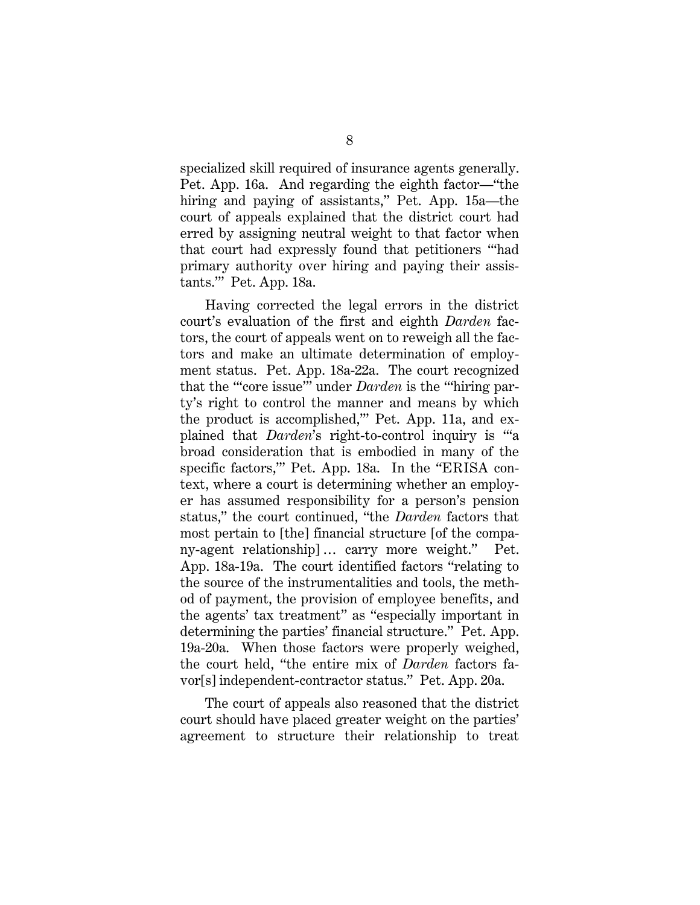specialized skill required of insurance agents generally. Pet. App. 16a. And regarding the eighth factor—"the hiring and paying of assistants," Pet. App. 15a—the court of appeals explained that the district court had erred by assigning neutral weight to that factor when that court had expressly found that petitioners "'had primary authority over hiring and paying their assistants.'" Pet. App. 18a.

Having corrected the legal errors in the district court's evaluation of the first and eighth *Darden* factors, the court of appeals went on to reweigh all the factors and make an ultimate determination of employment status. Pet. App. 18a-22a. The court recognized that the "'core issue'" under *Darden* is the "'hiring party's right to control the manner and means by which the product is accomplished,'" Pet. App. 11a, and explained that *Darden*'s right-to-control inquiry is "'a broad consideration that is embodied in many of the specific factors,'" Pet. App. 18a. In the "ERISA context, where a court is determining whether an employer has assumed responsibility for a person's pension status," the court continued, "the *Darden* factors that most pertain to [the] financial structure [of the company-agent relationship] … carry more weight." Pet. App. 18a-19a. The court identified factors "relating to the source of the instrumentalities and tools, the method of payment, the provision of employee benefits, and the agents' tax treatment" as "especially important in determining the parties' financial structure." Pet. App. 19a-20a. When those factors were properly weighed, the court held, "the entire mix of *Darden* factors favor[s] independent-contractor status." Pet. App. 20a.

The court of appeals also reasoned that the district court should have placed greater weight on the parties' agreement to structure their relationship to treat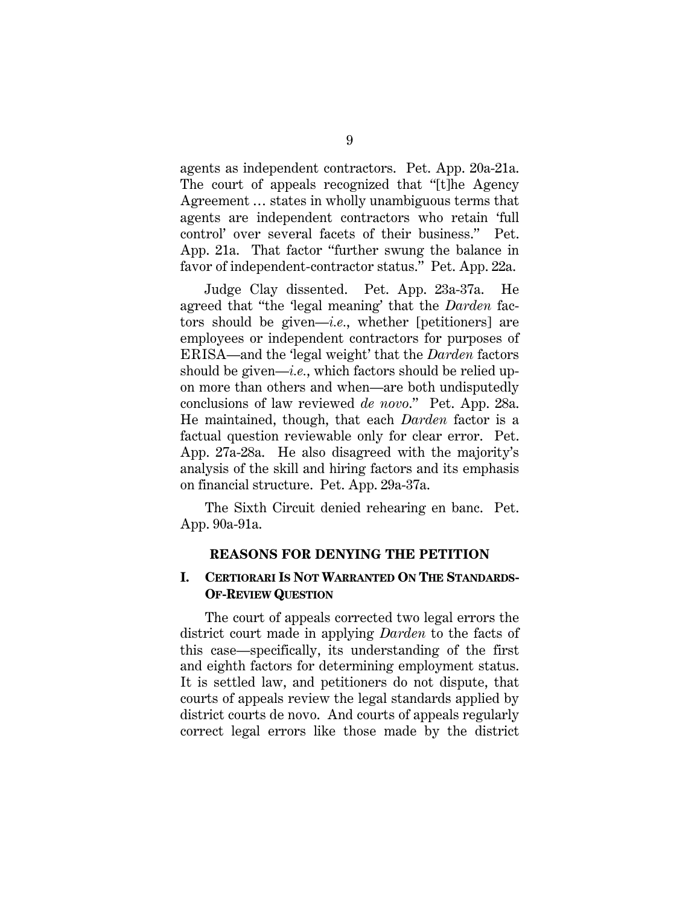agents as independent contractors. Pet. App. 20a-21a. The court of appeals recognized that "[t]he Agency Agreement … states in wholly unambiguous terms that agents are independent contractors who retain 'full control' over several facets of their business." Pet. App. 21a. That factor "further swung the balance in favor of independent-contractor status." Pet. App. 22a.

Judge Clay dissented. Pet. App. 23a-37a. He agreed that "the 'legal meaning' that the *Darden* factors should be given—*i.e.*, whether [petitioners] are employees or independent contractors for purposes of ERISA—and the 'legal weight' that the *Darden* factors should be given—*i.e.*, which factors should be relied upon more than others and when—are both undisputedly conclusions of law reviewed *de novo*." Pet. App. 28a. He maintained, though, that each *Darden* factor is a factual question reviewable only for clear error. Pet. App. 27a-28a. He also disagreed with the majority's analysis of the skill and hiring factors and its emphasis on financial structure. Pet. App. 29a-37a.

The Sixth Circuit denied rehearing en banc. Pet. App. 90a-91a.

#### **REASONS FOR DENYING THE PETITION**

### **I. CERTIORARI IS NOT WARRANTED ON THE STANDARDS-OF-REVIEW QUESTION**

The court of appeals corrected two legal errors the district court made in applying *Darden* to the facts of this case—specifically, its understanding of the first and eighth factors for determining employment status. It is settled law, and petitioners do not dispute, that courts of appeals review the legal standards applied by district courts de novo. And courts of appeals regularly correct legal errors like those made by the district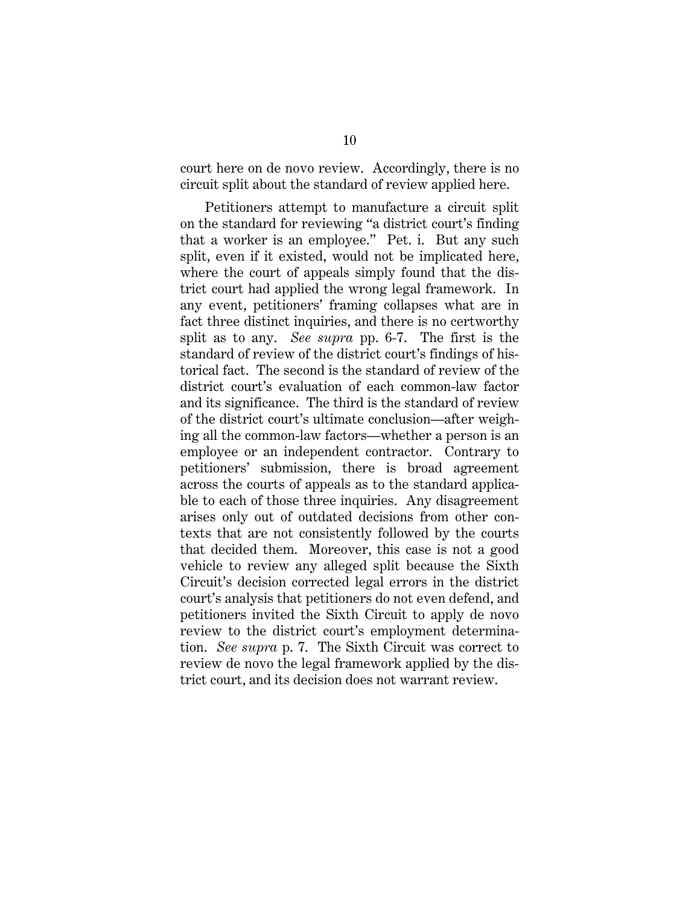court here on de novo review. Accordingly, there is no circuit split about the standard of review applied here.

Petitioners attempt to manufacture a circuit split on the standard for reviewing "a district court's finding that a worker is an employee." Pet. i. But any such split, even if it existed, would not be implicated here, where the court of appeals simply found that the district court had applied the wrong legal framework. In any event, petitioners' framing collapses what are in fact three distinct inquiries, and there is no certworthy split as to any. *See supra* pp. 6-7. The first is the standard of review of the district court's findings of historical fact. The second is the standard of review of the district court's evaluation of each common-law factor and its significance. The third is the standard of review of the district court's ultimate conclusion—after weighing all the common-law factors—whether a person is an employee or an independent contractor. Contrary to petitioners' submission, there is broad agreement across the courts of appeals as to the standard applicable to each of those three inquiries. Any disagreement arises only out of outdated decisions from other contexts that are not consistently followed by the courts that decided them. Moreover, this case is not a good vehicle to review any alleged split because the Sixth Circuit's decision corrected legal errors in the district court's analysis that petitioners do not even defend, and petitioners invited the Sixth Circuit to apply de novo review to the district court's employment determination. *See supra* p. 7. The Sixth Circuit was correct to review de novo the legal framework applied by the district court, and its decision does not warrant review.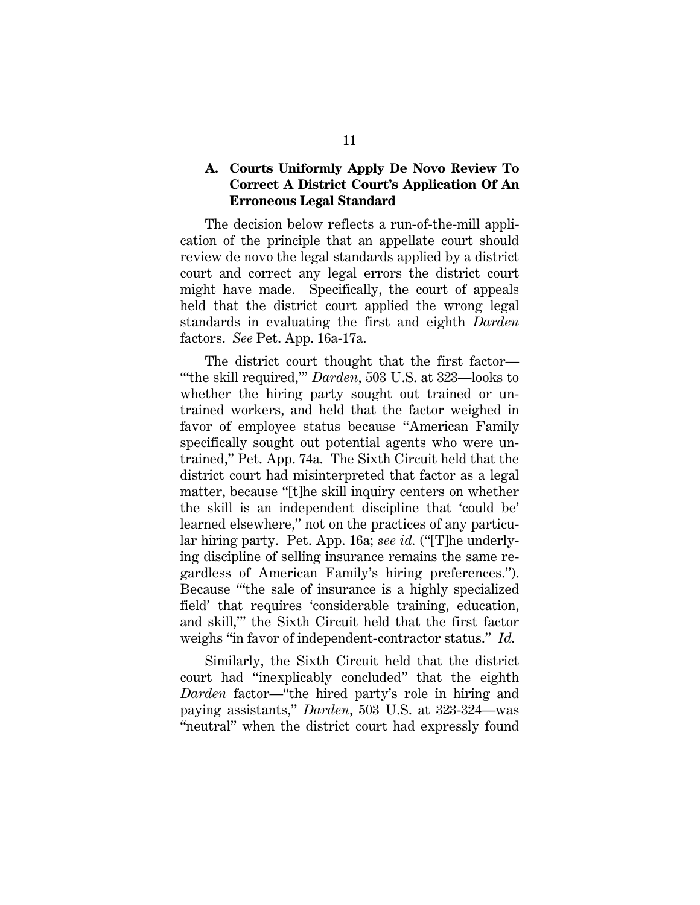### **A. Courts Uniformly Apply De Novo Review To Correct A District Court's Application Of An Erroneous Legal Standard**

The decision below reflects a run-of-the-mill application of the principle that an appellate court should review de novo the legal standards applied by a district court and correct any legal errors the district court might have made. Specifically, the court of appeals held that the district court applied the wrong legal standards in evaluating the first and eighth *Darden* factors. *See* Pet. App. 16a-17a.

The district court thought that the first factor— "'the skill required,'" *Darden*, 503 U.S. at 323—looks to whether the hiring party sought out trained or untrained workers, and held that the factor weighed in favor of employee status because "American Family specifically sought out potential agents who were untrained," Pet. App. 74a. The Sixth Circuit held that the district court had misinterpreted that factor as a legal matter, because "[t]he skill inquiry centers on whether the skill is an independent discipline that 'could be' learned elsewhere," not on the practices of any particular hiring party. Pet. App. 16a; *see id.* ("[T]he underlying discipline of selling insurance remains the same regardless of American Family's hiring preferences."). Because "'the sale of insurance is a highly specialized field' that requires 'considerable training, education, and skill,'" the Sixth Circuit held that the first factor weighs "in favor of independent-contractor status." *Id.*

Similarly, the Sixth Circuit held that the district court had "inexplicably concluded" that the eighth *Darden* factor—"the hired party's role in hiring and paying assistants," *Darden*, 503 U.S. at 323-324—was "neutral" when the district court had expressly found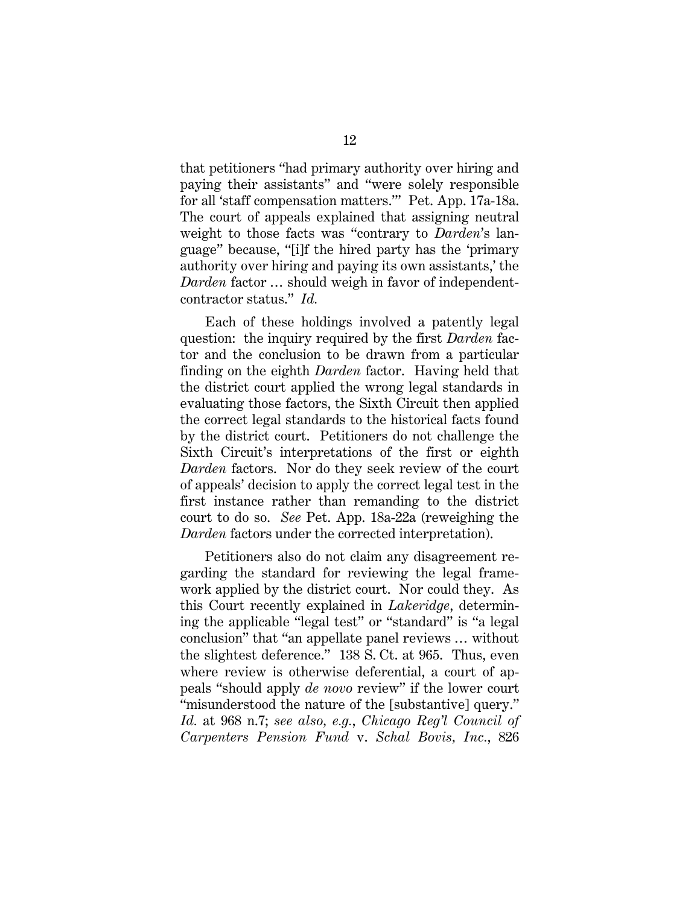that petitioners "had primary authority over hiring and paying their assistants" and "were solely responsible for all 'staff compensation matters.'" Pet. App. 17a-18a. The court of appeals explained that assigning neutral weight to those facts was "contrary to *Darden*'s language" because, "[i]f the hired party has the 'primary authority over hiring and paying its own assistants,' the *Darden* factor … should weigh in favor of independentcontractor status." *Id.*

Each of these holdings involved a patently legal question: the inquiry required by the first *Darden* factor and the conclusion to be drawn from a particular finding on the eighth *Darden* factor. Having held that the district court applied the wrong legal standards in evaluating those factors, the Sixth Circuit then applied the correct legal standards to the historical facts found by the district court. Petitioners do not challenge the Sixth Circuit's interpretations of the first or eighth *Darden* factors. Nor do they seek review of the court of appeals' decision to apply the correct legal test in the first instance rather than remanding to the district court to do so. *See* Pet. App. 18a-22a (reweighing the *Darden* factors under the corrected interpretation).

Petitioners also do not claim any disagreement regarding the standard for reviewing the legal framework applied by the district court. Nor could they. As this Court recently explained in *Lakeridge*, determining the applicable "legal test" or "standard" is "a legal conclusion" that "an appellate panel reviews … without the slightest deference." 138 S. Ct. at 965. Thus, even where review is otherwise deferential, a court of appeals "should apply *de novo* review" if the lower court "misunderstood the nature of the [substantive] query." *Id.* at 968 n.7; *see also, e.g.*, *Chicago Reg'l Council of Carpenters Pension Fund* v. *Schal Bovis, Inc.*, 826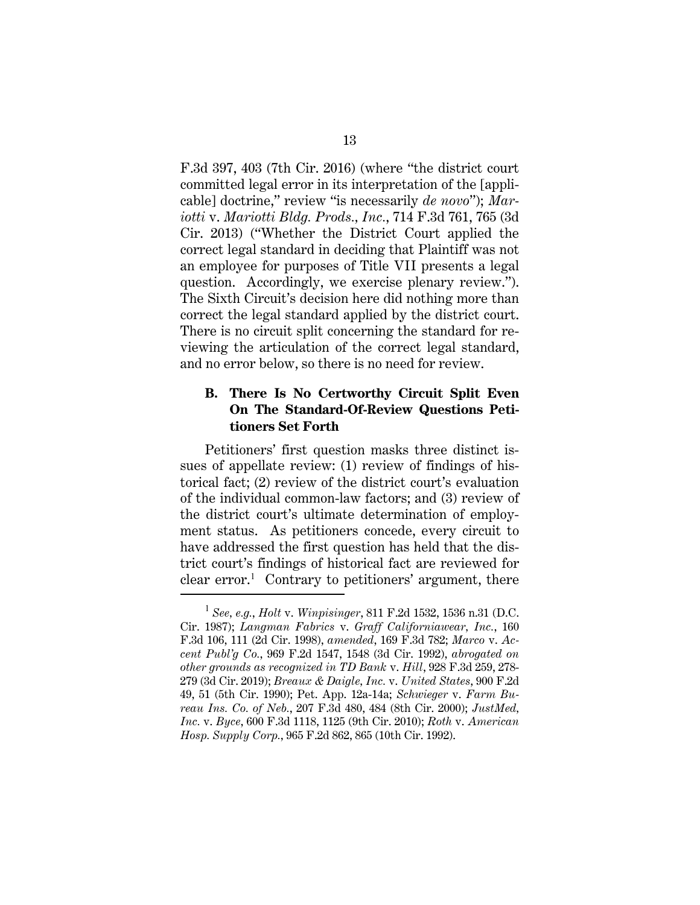F.3d 397, 403 (7th Cir. 2016) (where "the district court committed legal error in its interpretation of the [applicable] doctrine," review "is necessarily *de novo*"); *Mariotti* v. *Mariotti Bldg. Prods., Inc.*, 714 F.3d 761, 765 (3d Cir. 2013) ("Whether the District Court applied the correct legal standard in deciding that Plaintiff was not an employee for purposes of Title VII presents a legal question. Accordingly, we exercise plenary review."). The Sixth Circuit's decision here did nothing more than correct the legal standard applied by the district court. There is no circuit split concerning the standard for reviewing the articulation of the correct legal standard, and no error below, so there is no need for review.

### **B. There Is No Certworthy Circuit Split Even On The Standard-Of-Review Questions Petitioners Set Forth**

Petitioners' first question masks three distinct issues of appellate review: (1) review of findings of historical fact; (2) review of the district court's evaluation of the individual common-law factors; and (3) review of the district court's ultimate determination of employment status. As petitioners concede, every circuit to have addressed the first question has held that the district court's findings of historical fact are reviewed for clear error.<sup>1</sup> Contrary to petitioners' argument, there

<sup>1</sup> *See, e.g.*, *Holt* v. *Winpisinger*, 811 F.2d 1532, 1536 n.31 (D.C. Cir. 1987); *Langman Fabrics* v. *Graff Californiawear, Inc.*, 160 F.3d 106, 111 (2d Cir. 1998), *amended*, 169 F.3d 782; *Marco* v. *Accent Publ'g Co.*, 969 F.2d 1547, 1548 (3d Cir. 1992), *abrogated on other grounds as recognized in TD Bank* v. *Hill*, 928 F.3d 259, 278- 279 (3d Cir. 2019); *Breaux & Daigle, Inc.* v. *United States*, 900 F.2d 49, 51 (5th Cir. 1990); Pet. App. 12a-14a; *Schwieger* v. *Farm Bureau Ins. Co. of Neb.*, 207 F.3d 480, 484 (8th Cir. 2000); *JustMed, Inc.* v. *Byce*, 600 F.3d 1118, 1125 (9th Cir. 2010); *Roth* v. *American Hosp. Supply Corp.*, 965 F.2d 862, 865 (10th Cir. 1992).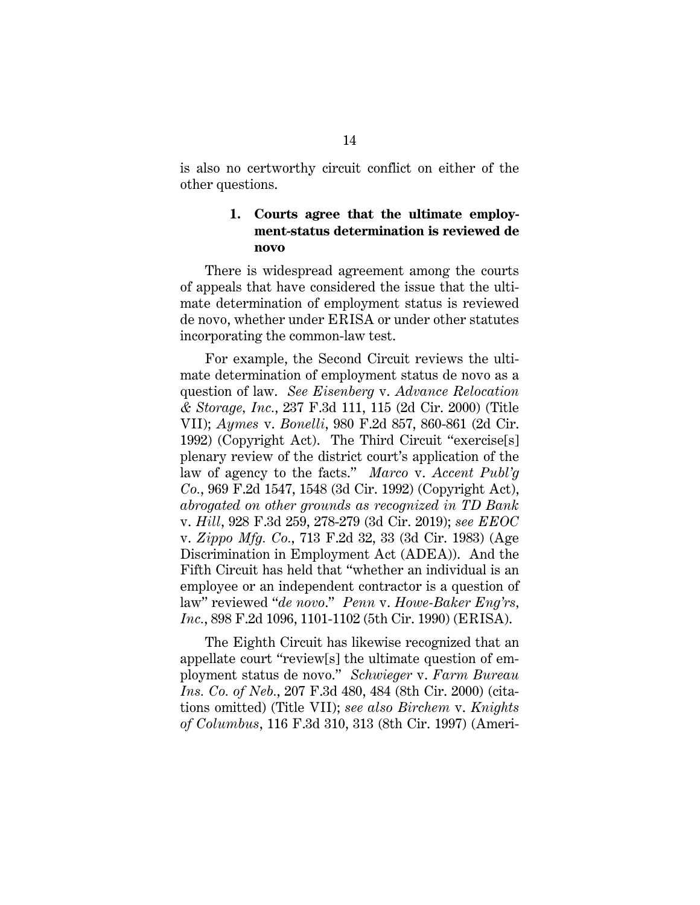is also no certworthy circuit conflict on either of the other questions.

### **1. Courts agree that the ultimate employment-status determination is reviewed de novo**

There is widespread agreement among the courts of appeals that have considered the issue that the ultimate determination of employment status is reviewed de novo, whether under ERISA or under other statutes incorporating the common-law test.

For example, the Second Circuit reviews the ultimate determination of employment status de novo as a question of law. *See Eisenberg* v. *Advance Relocation & Storage, Inc.*, 237 F.3d 111, 115 (2d Cir. 2000) (Title VII); *Aymes* v. *Bonelli*, 980 F.2d 857, 860-861 (2d Cir. 1992) (Copyright Act). The Third Circuit "exercise[s] plenary review of the district court's application of the law of agency to the facts." *Marco* v. *Accent Publ'g Co.*, 969 F.2d 1547, 1548 (3d Cir. 1992) (Copyright Act), *abrogated on other grounds as recognized in TD Bank* v. *Hill*, 928 F.3d 259, 278-279 (3d Cir. 2019); *see EEOC* v. *Zippo Mfg. Co.*, 713 F.2d 32, 33 (3d Cir. 1983) (Age Discrimination in Employment Act (ADEA)). And the Fifth Circuit has held that "whether an individual is an employee or an independent contractor is a question of law" reviewed "*de novo*." *Penn* v. *Howe-Baker Eng'rs, Inc.*, 898 F.2d 1096, 1101-1102 (5th Cir. 1990) (ERISA).

The Eighth Circuit has likewise recognized that an appellate court "review[s] the ultimate question of employment status de novo." *Schwieger* v. *Farm Bureau Ins. Co. of Neb.*, 207 F.3d 480, 484 (8th Cir. 2000) (citations omitted) (Title VII); *see also Birchem* v. *Knights of Columbus*, 116 F.3d 310, 313 (8th Cir. 1997) (Ameri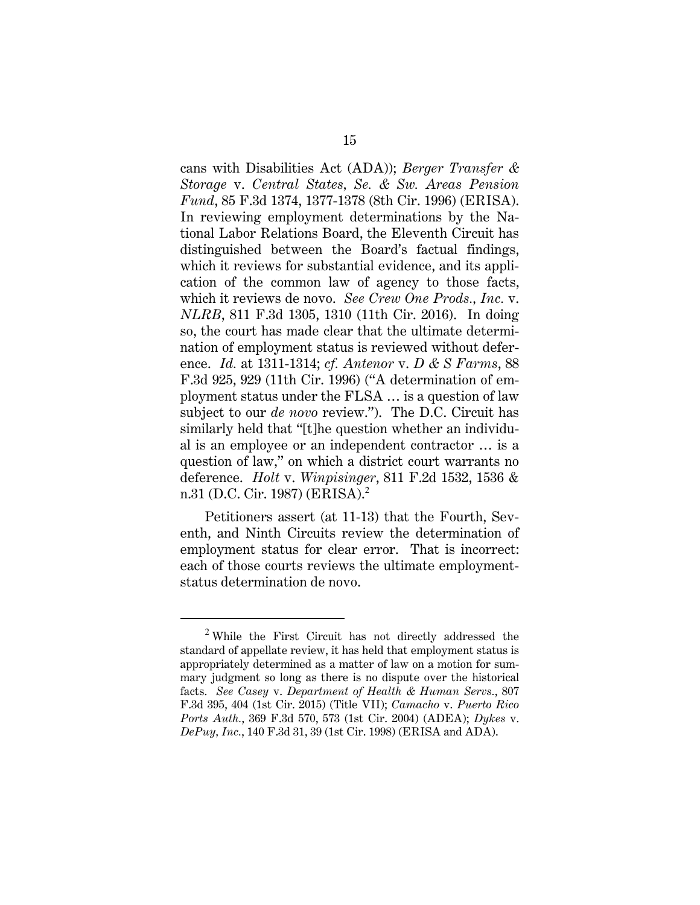cans with Disabilities Act (ADA)); *Berger Transfer & Storage* v. *Central States, Se. & Sw. Areas Pension Fund*, 85 F.3d 1374, 1377-1378 (8th Cir. 1996) (ERISA). In reviewing employment determinations by the National Labor Relations Board, the Eleventh Circuit has distinguished between the Board's factual findings, which it reviews for substantial evidence, and its application of the common law of agency to those facts, which it reviews de novo. *See Crew One Prods., Inc.* v. *NLRB*, 811 F.3d 1305, 1310 (11th Cir. 2016). In doing so, the court has made clear that the ultimate determination of employment status is reviewed without deference. *Id.* at 1311-1314; *cf. Antenor* v. *D & S Farms*, 88 F.3d 925, 929 (11th Cir. 1996) ("A determination of employment status under the FLSA … is a question of law subject to our *de novo* review."). The D.C. Circuit has similarly held that "[t]he question whether an individual is an employee or an independent contractor … is a question of law," on which a district court warrants no deference. *Holt* v. *Winpisinger*, 811 F.2d 1532, 1536 & n.31 (D.C. Cir. 1987) (ERISA).<sup>2</sup>

Petitioners assert (at 11-13) that the Fourth, Seventh, and Ninth Circuits review the determination of employment status for clear error. That is incorrect: each of those courts reviews the ultimate employmentstatus determination de novo.

<sup>2</sup> While the First Circuit has not directly addressed the standard of appellate review, it has held that employment status is appropriately determined as a matter of law on a motion for summary judgment so long as there is no dispute over the historical facts. *See Casey* v. *Department of Health & Human Servs.*, 807 F.3d 395, 404 (1st Cir. 2015) (Title VII); *Camacho* v. *Puerto Rico Ports Auth.*, 369 F.3d 570, 573 (1st Cir. 2004) (ADEA); *Dykes* v. *DePuy, Inc.*, 140 F.3d 31, 39 (1st Cir. 1998) (ERISA and ADA).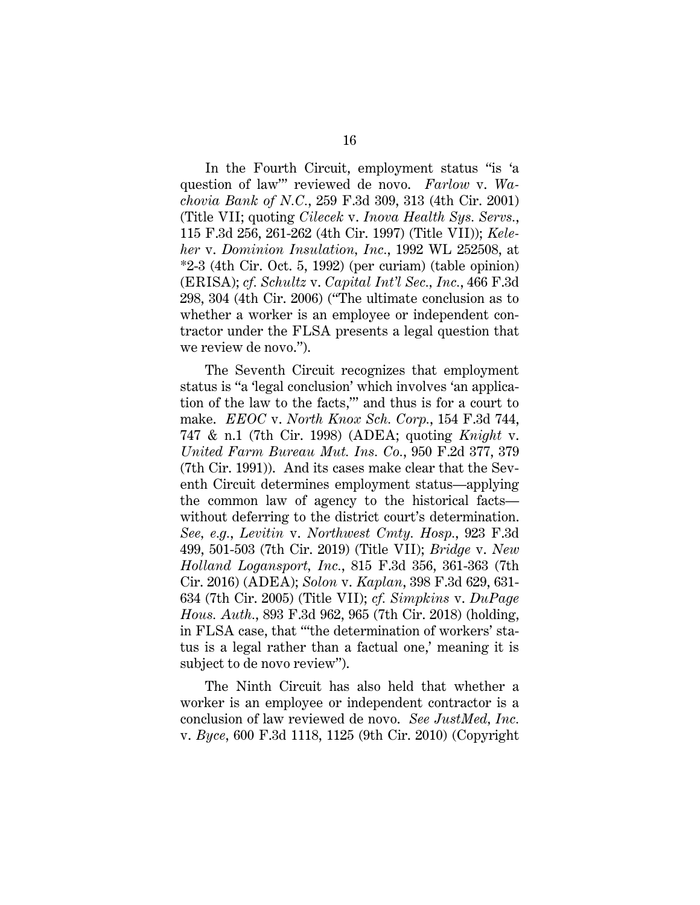In the Fourth Circuit, employment status "is 'a question of law'" reviewed de novo. *Farlow* v. *Wachovia Bank of N.C.*, 259 F.3d 309, 313 (4th Cir. 2001) (Title VII; quoting *Cilecek* v. *Inova Health Sys. Servs.*, 115 F.3d 256, 261-262 (4th Cir. 1997) (Title VII)); *Keleher* v. *Dominion Insulation, Inc.*, 1992 WL 252508, at \*2-3 (4th Cir. Oct. 5, 1992) (per curiam) (table opinion) (ERISA); *cf. Schultz* v. *Capital Int'l Sec., Inc.*, 466 F.3d 298, 304 (4th Cir. 2006) ("The ultimate conclusion as to whether a worker is an employee or independent contractor under the FLSA presents a legal question that we review de novo.").

The Seventh Circuit recognizes that employment status is "a 'legal conclusion' which involves 'an application of the law to the facts,'" and thus is for a court to make. *EEOC* v. *North Knox Sch. Corp.*, 154 F.3d 744, 747 & n.1 (7th Cir. 1998) (ADEA; quoting *Knight* v. *United Farm Bureau Mut. Ins. Co.*, 950 F.2d 377, 379 (7th Cir. 1991)). And its cases make clear that the Seventh Circuit determines employment status—applying the common law of agency to the historical facts without deferring to the district court's determination. *See, e.g.*, *Levitin* v. *Northwest Cmty. Hosp.*, 923 F.3d 499, 501-503 (7th Cir. 2019) (Title VII); *Bridge* v. *New Holland Logansport, Inc.*, 815 F.3d 356, 361-363 (7th Cir. 2016) (ADEA); *Solon* v. *Kaplan*, 398 F.3d 629, 631- 634 (7th Cir. 2005) (Title VII); *cf. Simpkins* v. *DuPage Hous. Auth.*, 893 F.3d 962, 965 (7th Cir. 2018) (holding, in FLSA case, that "'the determination of workers' status is a legal rather than a factual one,' meaning it is subject to de novo review").

The Ninth Circuit has also held that whether a worker is an employee or independent contractor is a conclusion of law reviewed de novo. *See JustMed, Inc.* v. *Byce*, 600 F.3d 1118, 1125 (9th Cir. 2010) (Copyright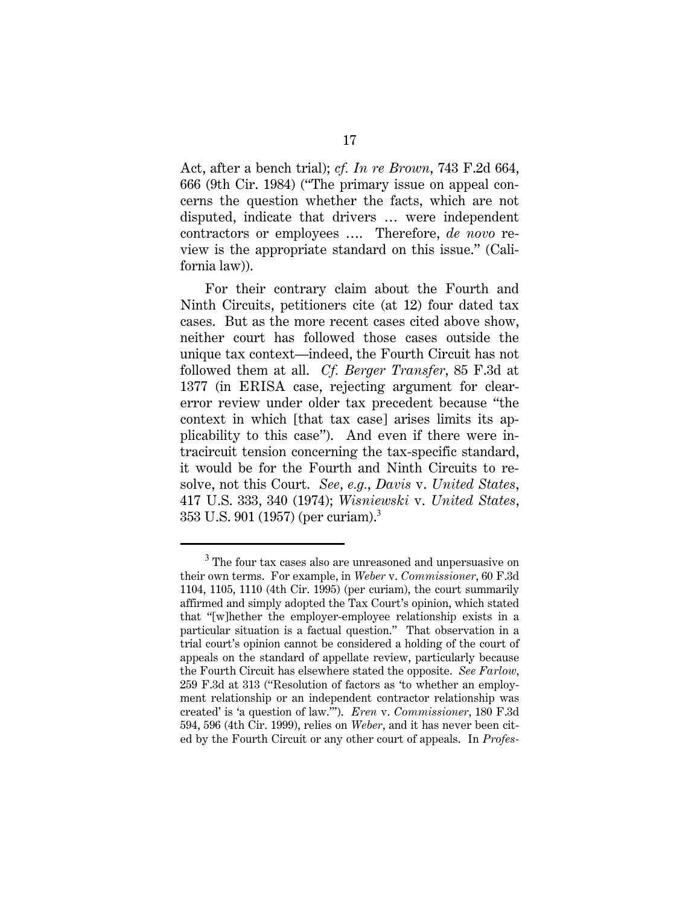Act, after a bench trial); *cf. In re Brown*, 743 F.2d 664, 666 (9th Cir. 1984) ("The primary issue on appeal concerns the question whether the facts, which are not disputed, indicate that drivers … were independent contractors or employees …. Therefore, *de novo* review is the appropriate standard on this issue." (California law)).

For their contrary claim about the Fourth and Ninth Circuits, petitioners cite (at 12) four dated tax cases. But as the more recent cases cited above show, neither court has followed those cases outside the unique tax context—indeed, the Fourth Circuit has not followed them at all. *Cf. Berger Transfer*, 85 F.3d at 1377 (in ERISA case, rejecting argument for clearerror review under older tax precedent because "the context in which [that tax case] arises limits its applicability to this case"). And even if there were intracircuit tension concerning the tax-specific standard, it would be for the Fourth and Ninth Circuits to resolve, not this Court. *See*, *e.g.*, *Davis* v. *United States*, 417 U.S. 333, 340 (1974); *Wisniewski* v. *United States*, 353 U.S. 901 (1957) (per curiam).<sup>3</sup>

<sup>&</sup>lt;sup>3</sup> The four tax cases also are unreasoned and unpersuasive on their own terms. For example, in *Weber* v. *Commissioner*, 60 F.3d 1104, 1105, 1110 (4th Cir. 1995) (per curiam), the court summarily affirmed and simply adopted the Tax Court's opinion, which stated that "[w]hether the employer-employee relationship exists in a particular situation is a factual question." That observation in a trial court's opinion cannot be considered a holding of the court of appeals on the standard of appellate review, particularly because the Fourth Circuit has elsewhere stated the opposite. *See Farlow*, 259 F.3d at 313 ("Resolution of factors as 'to whether an employment relationship or an independent contractor relationship was created' is 'a question of law.'"). *Eren* v. *Commissioner*, 180 F.3d 594, 596 (4th Cir. 1999), relies on *Weber*, and it has never been cited by the Fourth Circuit or any other court of appeals. In *Profes-*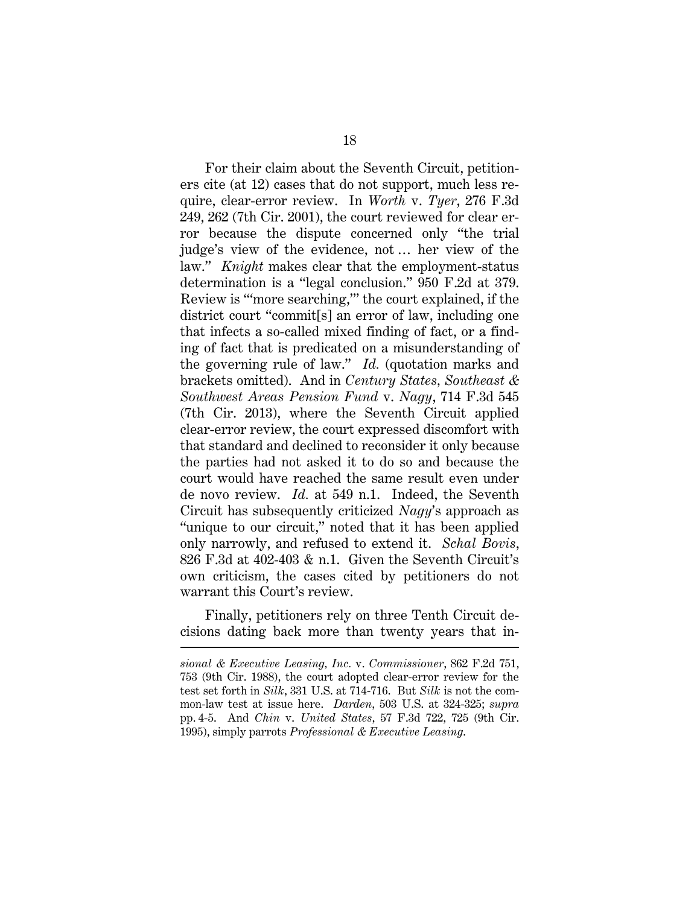For their claim about the Seventh Circuit, petitioners cite (at 12) cases that do not support, much less require, clear-error review. In *Worth* v. *Tyer*, 276 F.3d 249, 262 (7th Cir. 2001), the court reviewed for clear error because the dispute concerned only "the trial judge's view of the evidence, not … her view of the law." *Knight* makes clear that the employment-status determination is a "legal conclusion." 950 F.2d at 379. Review is "'more searching,'" the court explained, if the district court "commit[s] an error of law, including one that infects a so-called mixed finding of fact, or a finding of fact that is predicated on a misunderstanding of the governing rule of law." *Id.* (quotation marks and brackets omitted). And in *Century States, Southeast & Southwest Areas Pension Fund* v. *Nagy*, 714 F.3d 545 (7th Cir. 2013), where the Seventh Circuit applied clear-error review, the court expressed discomfort with that standard and declined to reconsider it only because the parties had not asked it to do so and because the court would have reached the same result even under de novo review. *Id.* at 549 n.1. Indeed, the Seventh Circuit has subsequently criticized *Nagy*'s approach as "unique to our circuit," noted that it has been applied only narrowly, and refused to extend it. *Schal Bovis*, 826 F.3d at 402-403  $\&$  n.1. Given the Seventh Circuit's own criticism, the cases cited by petitioners do not warrant this Court's review.

Finally, petitioners rely on three Tenth Circuit decisions dating back more than twenty years that in-

*sional & Executive Leasing, Inc.* v. *Commissioner*, 862 F.2d 751, 753 (9th Cir. 1988), the court adopted clear-error review for the test set forth in *Silk*, 331 U.S. at 714-716. But *Silk* is not the common-law test at issue here. *Darden*, 503 U.S. at 324-325; *supra* pp. 4-5. And *Chin* v. *United States*, 57 F.3d 722, 725 (9th Cir. 1995), simply parrots *Professional & Executive Leasing*.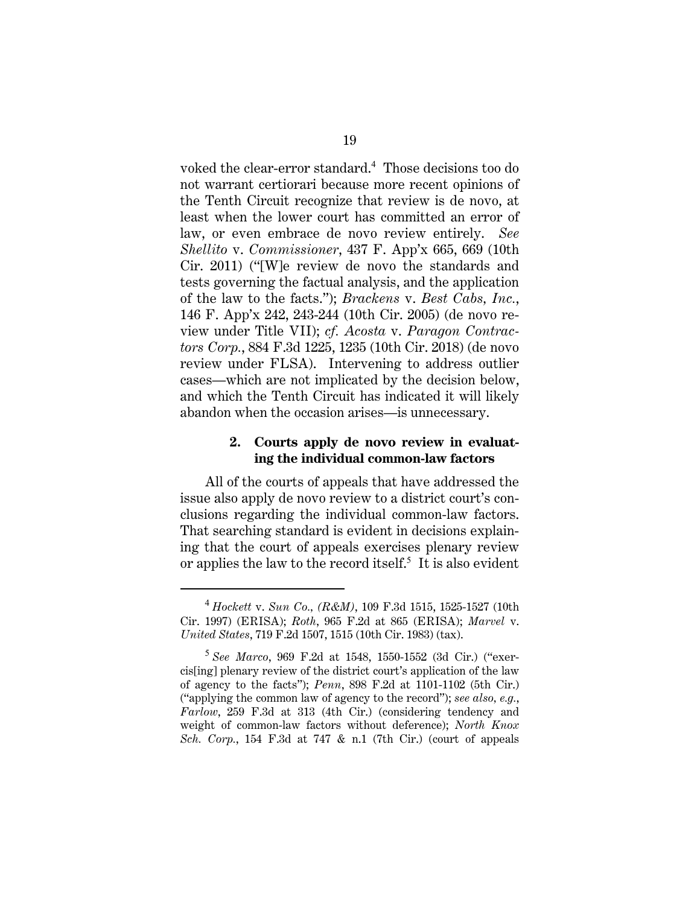voked the clear-error standard.<sup>4</sup> Those decisions too do not warrant certiorari because more recent opinions of the Tenth Circuit recognize that review is de novo, at least when the lower court has committed an error of law, or even embrace de novo review entirely. *See Shellito* v. *Commissioner*, 437 F. App'x 665, 669 (10th Cir. 2011) ("[W]e review de novo the standards and tests governing the factual analysis, and the application of the law to the facts."); *Brackens* v. *Best Cabs, Inc.*, 146 F. App'x 242, 243-244 (10th Cir. 2005) (de novo review under Title VII); *cf. Acosta* v. *Paragon Contractors Corp.*, 884 F.3d 1225, 1235 (10th Cir. 2018) (de novo review under FLSA). Intervening to address outlier cases—which are not implicated by the decision below, and which the Tenth Circuit has indicated it will likely abandon when the occasion arises—is unnecessary.

### **2. Courts apply de novo review in evaluating the individual common-law factors**

All of the courts of appeals that have addressed the issue also apply de novo review to a district court's conclusions regarding the individual common-law factors. That searching standard is evident in decisions explaining that the court of appeals exercises plenary review or applies the law to the record itself. $5$  It is also evident

<sup>4</sup> *Hockett* v. *Sun Co., (R&M)*, 109 F.3d 1515, 1525-1527 (10th Cir. 1997) (ERISA); *Roth*, 965 F.2d at 865 (ERISA); *Marvel* v. *United States*, 719 F.2d 1507, 1515 (10th Cir. 1983) (tax).

<sup>5</sup> *See Marco*, 969 F.2d at 1548, 1550-1552 (3d Cir.) ("exercis[ing] plenary review of the district court's application of the law of agency to the facts"); *Penn*, 898 F.2d at 1101-1102 (5th Cir.) ("applying the common law of agency to the record"); *see also, e.g.*, *Farlow*, 259 F.3d at 313 (4th Cir.) (considering tendency and weight of common-law factors without deference); *North Knox Sch. Corp.*, 154 F.3d at 747 & n.1 (7th Cir.) (court of appeals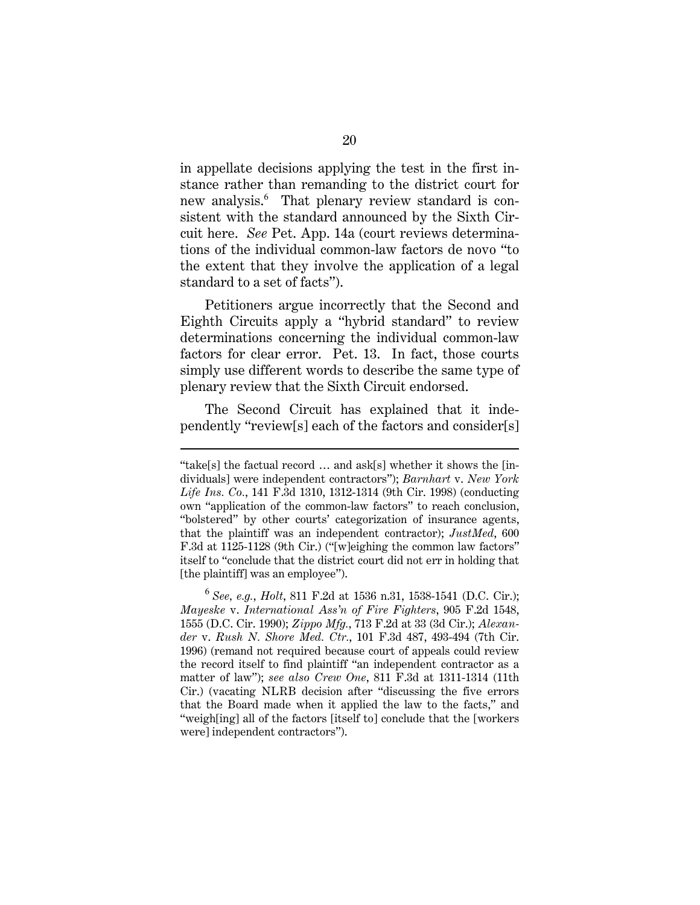in appellate decisions applying the test in the first instance rather than remanding to the district court for new analysis.<sup>6</sup> That plenary review standard is consistent with the standard announced by the Sixth Circuit here. *See* Pet. App. 14a (court reviews determinations of the individual common-law factors de novo "to the extent that they involve the application of a legal standard to a set of facts").

Petitioners argue incorrectly that the Second and Eighth Circuits apply a "hybrid standard" to review determinations concerning the individual common-law factors for clear error. Pet. 13. In fact, those courts simply use different words to describe the same type of plenary review that the Sixth Circuit endorsed.

The Second Circuit has explained that it independently "review[s] each of the factors and consider[s]

<sup>&</sup>quot;take[s] the factual record … and ask[s] whether it shows the [individuals] were independent contractors"); *Barnhart* v. *New York Life Ins. Co.*, 141 F.3d 1310, 1312-1314 (9th Cir. 1998) (conducting own "application of the common-law factors" to reach conclusion, "bolstered" by other courts' categorization of insurance agents, that the plaintiff was an independent contractor); *JustMed*, 600 F.3d at 1125-1128 (9th Cir.) ("[w]eighing the common law factors" itself to "conclude that the district court did not err in holding that [the plaintiff] was an employee").

<sup>6</sup> *See, e.g.*, *Holt*, 811 F.2d at 1536 n.31, 1538-1541 (D.C. Cir.); *Mayeske* v. *International Ass'n of Fire Fighters*, 905 F.2d 1548, 1555 (D.C. Cir. 1990); *Zippo Mfg.*, 713 F.2d at 33 (3d Cir.); *Alexander* v. *Rush N. Shore Med. Ctr.*, 101 F.3d 487, 493-494 (7th Cir. 1996) (remand not required because court of appeals could review the record itself to find plaintiff "an independent contractor as a matter of law"); *see also Crew One*, 811 F.3d at 1311-1314 (11th Cir.) (vacating NLRB decision after "discussing the five errors that the Board made when it applied the law to the facts," and "weigh[ing] all of the factors [itself to] conclude that the [workers were] independent contractors").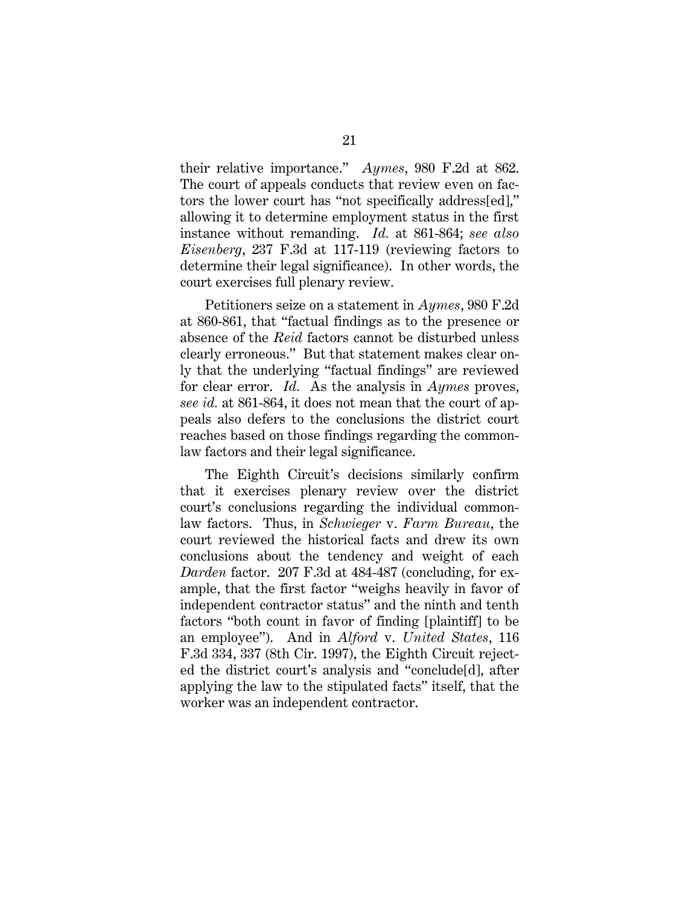their relative importance." *Aymes*, 980 F.2d at 862. The court of appeals conducts that review even on factors the lower court has "not specifically address[ed]," allowing it to determine employment status in the first instance without remanding. *Id.* at 861-864; *see also Eisenberg*, 237 F.3d at 117-119 (reviewing factors to determine their legal significance). In other words, the court exercises full plenary review.

Petitioners seize on a statement in *Aymes*, 980 F.2d at 860-861, that "factual findings as to the presence or absence of the *Reid* factors cannot be disturbed unless clearly erroneous." But that statement makes clear only that the underlying "factual findings" are reviewed for clear error. *Id.* As the analysis in *Aymes* proves, *see id.* at 861-864, it does not mean that the court of appeals also defers to the conclusions the district court reaches based on those findings regarding the commonlaw factors and their legal significance.

The Eighth Circuit's decisions similarly confirm that it exercises plenary review over the district court's conclusions regarding the individual commonlaw factors. Thus, in *Schwieger* v. *Farm Bureau*, the court reviewed the historical facts and drew its own conclusions about the tendency and weight of each *Darden* factor. 207 F.3d at 484-487 (concluding, for example, that the first factor "weighs heavily in favor of independent contractor status" and the ninth and tenth factors "both count in favor of finding [plaintiff] to be an employee"). And in *Alford* v. *United States*, 116 F.3d 334, 337 (8th Cir. 1997), the Eighth Circuit rejected the district court's analysis and "conclude[d], after applying the law to the stipulated facts" itself, that the worker was an independent contractor.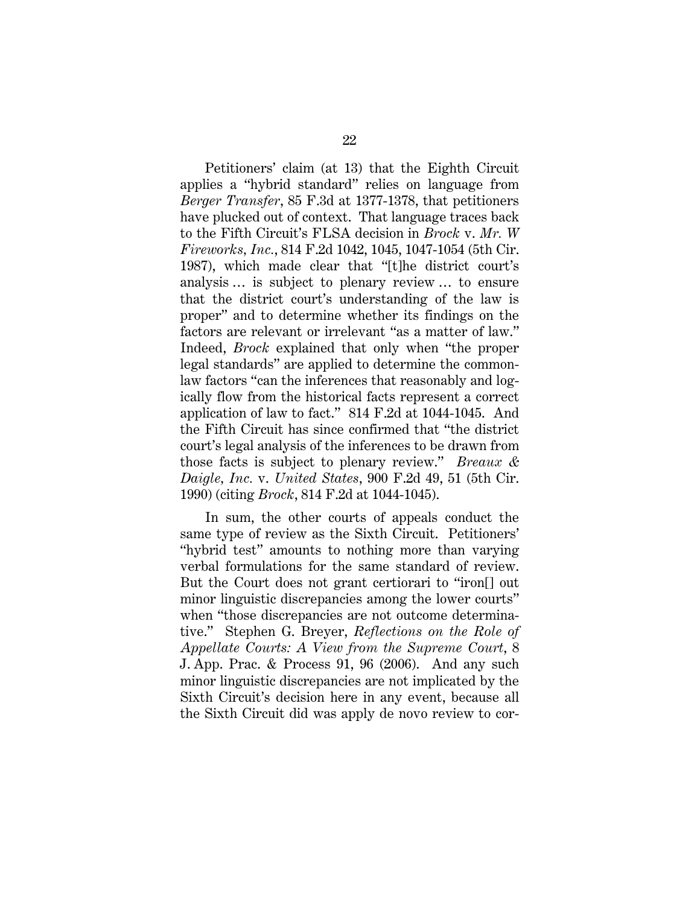Petitioners' claim (at 13) that the Eighth Circuit applies a "hybrid standard" relies on language from *Berger Transfer*, 85 F.3d at 1377-1378, that petitioners have plucked out of context. That language traces back to the Fifth Circuit's FLSA decision in *Brock* v. *Mr. W Fireworks, Inc.*, 814 F.2d 1042, 1045, 1047-1054 (5th Cir. 1987), which made clear that "[t]he district court's analysis … is subject to plenary review … to ensure that the district court's understanding of the law is proper" and to determine whether its findings on the factors are relevant or irrelevant "as a matter of law." Indeed, *Brock* explained that only when "the proper legal standards" are applied to determine the commonlaw factors "can the inferences that reasonably and logically flow from the historical facts represent a correct application of law to fact." 814 F.2d at 1044-1045. And the Fifth Circuit has since confirmed that "the district court's legal analysis of the inferences to be drawn from those facts is subject to plenary review." *Breaux & Daigle, Inc.* v. *United States*, 900 F.2d 49, 51 (5th Cir. 1990) (citing *Brock*, 814 F.2d at 1044-1045).

In sum, the other courts of appeals conduct the same type of review as the Sixth Circuit. Petitioners' "hybrid test" amounts to nothing more than varying verbal formulations for the same standard of review. But the Court does not grant certiorari to "iron[] out minor linguistic discrepancies among the lower courts" when "those discrepancies are not outcome determinative." Stephen G. Breyer, *Reflections on the Role of Appellate Courts: A View from the Supreme Court*, 8 J. App. Prac. & Process 91, 96 (2006). And any such minor linguistic discrepancies are not implicated by the Sixth Circuit's decision here in any event, because all the Sixth Circuit did was apply de novo review to cor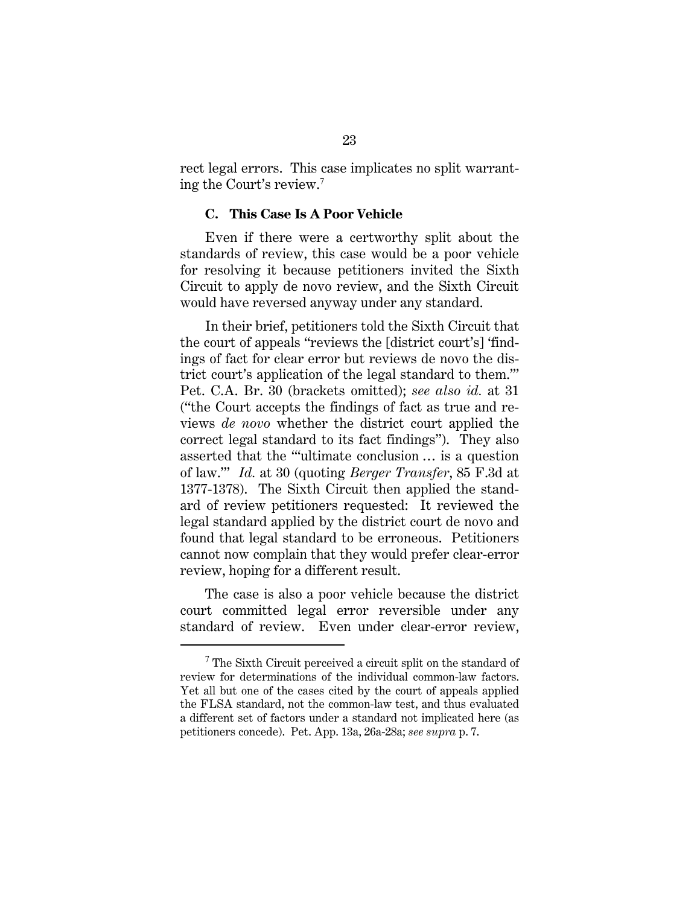rect legal errors. This case implicates no split warranting the Court's review.<sup>7</sup>

#### **C. This Case Is A Poor Vehicle**

Even if there were a certworthy split about the standards of review, this case would be a poor vehicle for resolving it because petitioners invited the Sixth Circuit to apply de novo review, and the Sixth Circuit would have reversed anyway under any standard.

In their brief, petitioners told the Sixth Circuit that the court of appeals "reviews the [district court's] 'findings of fact for clear error but reviews de novo the district court's application of the legal standard to them.'" Pet. C.A. Br. 30 (brackets omitted); *see also id.* at 31 ("the Court accepts the findings of fact as true and reviews *de novo* whether the district court applied the correct legal standard to its fact findings"). They also asserted that the "'ultimate conclusion … is a question of law.'" *Id.* at 30 (quoting *Berger Transfer*, 85 F.3d at 1377-1378). The Sixth Circuit then applied the standard of review petitioners requested: It reviewed the legal standard applied by the district court de novo and found that legal standard to be erroneous. Petitioners cannot now complain that they would prefer clear-error review, hoping for a different result.

The case is also a poor vehicle because the district court committed legal error reversible under any standard of review. Even under clear-error review,

 $7$  The Sixth Circuit perceived a circuit split on the standard of review for determinations of the individual common-law factors. Yet all but one of the cases cited by the court of appeals applied the FLSA standard, not the common-law test, and thus evaluated a different set of factors under a standard not implicated here (as petitioners concede). Pet. App. 13a, 26a-28a; *see supra* p. 7.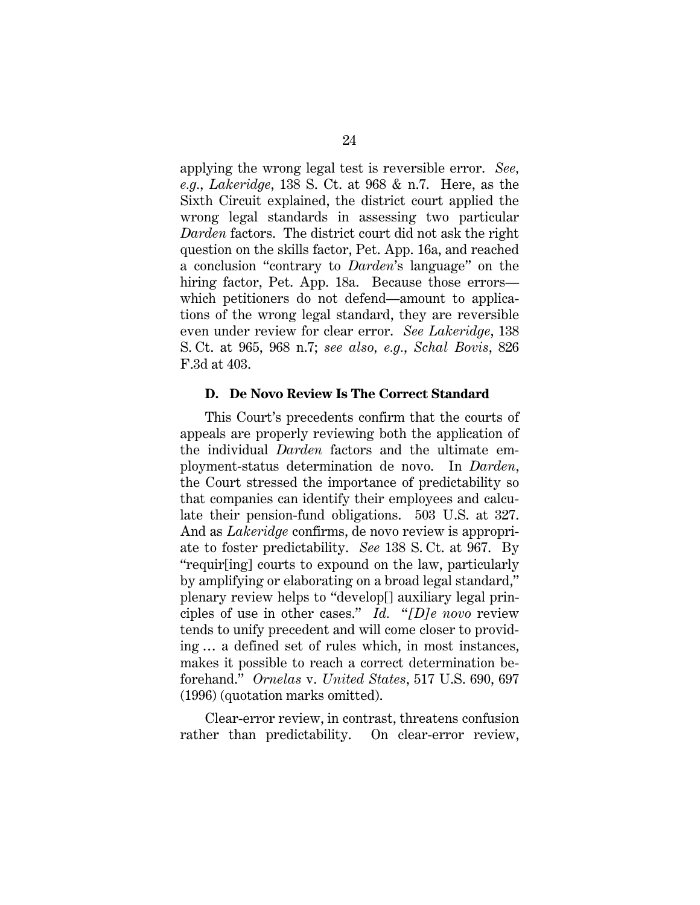applying the wrong legal test is reversible error. *See, e.g.*, *Lakeridge*, 138 S. Ct. at 968 & n.7. Here, as the Sixth Circuit explained, the district court applied the wrong legal standards in assessing two particular *Darden* factors. The district court did not ask the right question on the skills factor, Pet. App. 16a, and reached a conclusion "contrary to *Darden*'s language" on the hiring factor, Pet. App. 18a. Because those errors which petitioners do not defend—amount to applications of the wrong legal standard, they are reversible even under review for clear error. *See Lakeridge*, 138 S. Ct. at 965, 968 n.7; *see also, e.g.*, *Schal Bovis*, 826 F.3d at 403.

#### **D. De Novo Review Is The Correct Standard**

This Court's precedents confirm that the courts of appeals are properly reviewing both the application of the individual *Darden* factors and the ultimate employment-status determination de novo. In *Darden*, the Court stressed the importance of predictability so that companies can identify their employees and calculate their pension-fund obligations. 503 U.S. at 327. And as *Lakeridge* confirms, de novo review is appropriate to foster predictability. *See* 138 S. Ct. at 967. By "requir[ing] courts to expound on the law, particularly by amplifying or elaborating on a broad legal standard," plenary review helps to "develop[] auxiliary legal principles of use in other cases." *Id.* "*[D]e novo* review tends to unify precedent and will come closer to providing … a defined set of rules which, in most instances, makes it possible to reach a correct determination beforehand." *Ornelas* v. *United States*, 517 U.S. 690, 697 (1996) (quotation marks omitted).

Clear-error review, in contrast, threatens confusion rather than predictability. On clear-error review,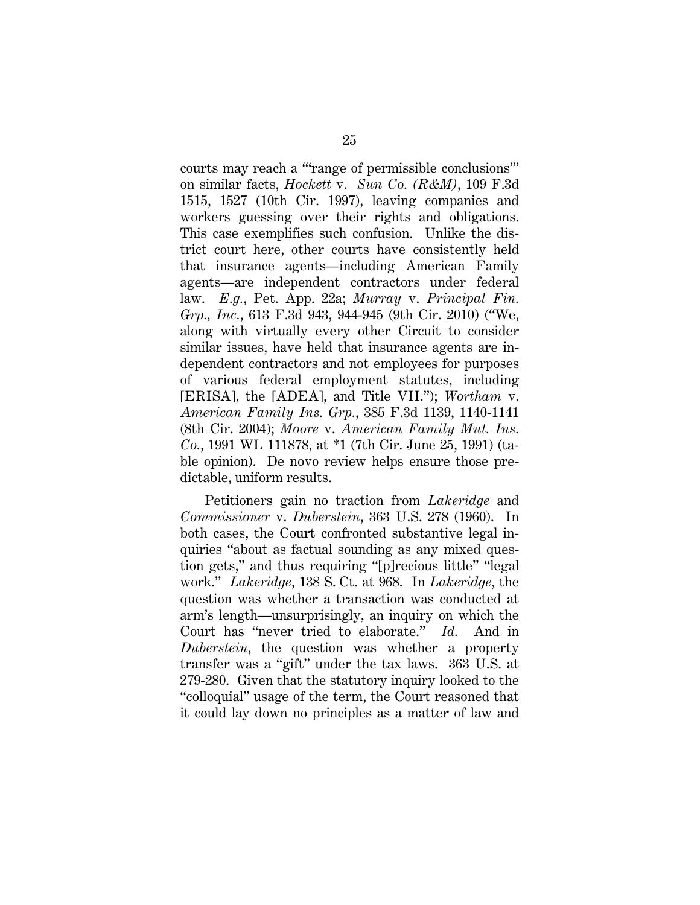courts may reach a "'range of permissible conclusions'" on similar facts, *Hockett* v. *Sun Co. (R&M)*, 109 F.3d 1515, 1527 (10th Cir. 1997), leaving companies and workers guessing over their rights and obligations. This case exemplifies such confusion. Unlike the district court here, other courts have consistently held that insurance agents—including American Family agents—are independent contractors under federal law. *E.g.*, Pet. App. 22a; *Murray* v. *Principal Fin. Grp., Inc.*, 613 F.3d 943, 944-945 (9th Cir. 2010) ("We, along with virtually every other Circuit to consider similar issues, have held that insurance agents are independent contractors and not employees for purposes of various federal employment statutes, including [ERISA], the [ADEA], and Title VII."); *Wortham* v. *American Family Ins. Grp.*, 385 F.3d 1139, 1140-1141 (8th Cir. 2004); *Moore* v. *American Family Mut. Ins. Co.*, 1991 WL 111878, at \*1 (7th Cir. June 25, 1991) (table opinion). De novo review helps ensure those predictable, uniform results.

Petitioners gain no traction from *Lakeridge* and *Commissioner* v. *Duberstein*, 363 U.S. 278 (1960). In both cases, the Court confronted substantive legal inquiries "about as factual sounding as any mixed question gets," and thus requiring "[p]recious little" "legal work." *Lakeridge*, 138 S. Ct. at 968. In *Lakeridge*, the question was whether a transaction was conducted at arm's length—unsurprisingly, an inquiry on which the Court has "never tried to elaborate." *Id.* And in *Duberstein*, the question was whether a property transfer was a "gift" under the tax laws. 363 U.S. at 279-280. Given that the statutory inquiry looked to the "colloquial" usage of the term, the Court reasoned that it could lay down no principles as a matter of law and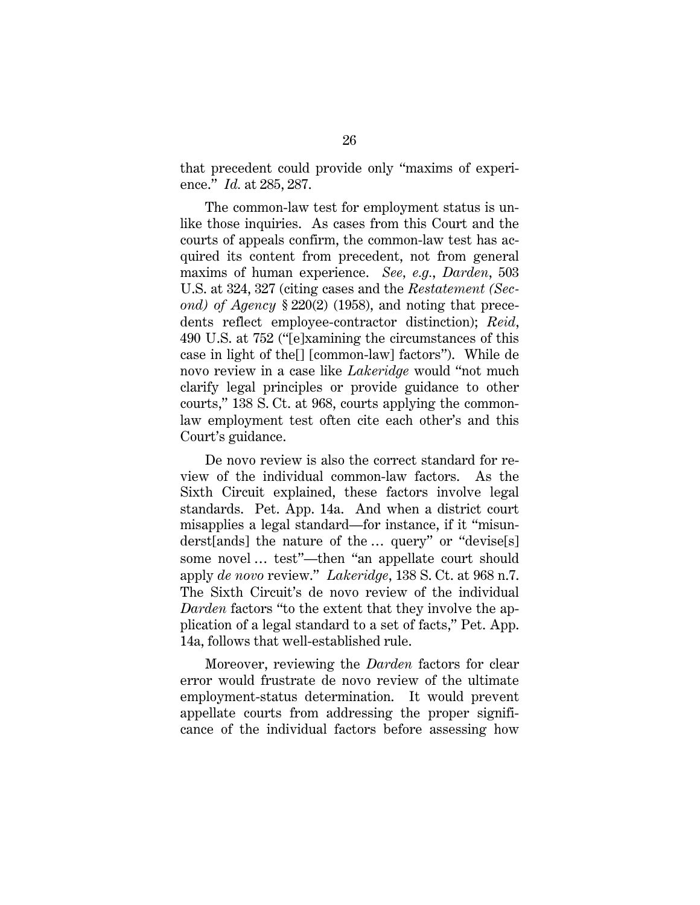that precedent could provide only "maxims of experience." *Id.* at 285, 287.

The common-law test for employment status is unlike those inquiries. As cases from this Court and the courts of appeals confirm, the common-law test has acquired its content from precedent, not from general maxims of human experience. *See, e.g.*, *Darden*, 503 U.S. at 324, 327 (citing cases and the *Restatement (Second) of Agency* § 220(2) (1958), and noting that precedents reflect employee-contractor distinction); *Reid*, 490 U.S. at 752 ("[e]xamining the circumstances of this case in light of the[] [common-law] factors"). While de novo review in a case like *Lakeridge* would "not much clarify legal principles or provide guidance to other courts," 138 S. Ct. at 968, courts applying the commonlaw employment test often cite each other's and this Court's guidance.

De novo review is also the correct standard for review of the individual common-law factors. As the Sixth Circuit explained, these factors involve legal standards. Pet. App. 14a. And when a district court misapplies a legal standard—for instance, if it "misunderst[ands] the nature of the … query" or "devise[s] some novel … test"—then "an appellate court should apply *de novo* review." *Lakeridge*, 138 S. Ct. at 968 n.7. The Sixth Circuit's de novo review of the individual *Darden* factors "to the extent that they involve the application of a legal standard to a set of facts," Pet. App. 14a, follows that well-established rule.

Moreover, reviewing the *Darden* factors for clear error would frustrate de novo review of the ultimate employment-status determination. It would prevent appellate courts from addressing the proper significance of the individual factors before assessing how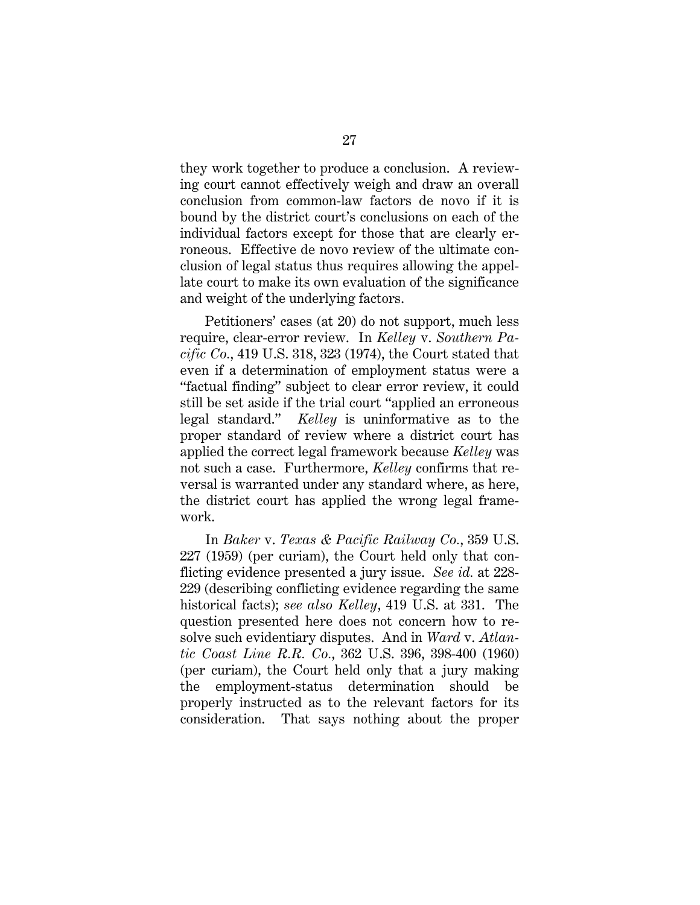they work together to produce a conclusion. A reviewing court cannot effectively weigh and draw an overall conclusion from common-law factors de novo if it is bound by the district court's conclusions on each of the individual factors except for those that are clearly erroneous. Effective de novo review of the ultimate conclusion of legal status thus requires allowing the appellate court to make its own evaluation of the significance and weight of the underlying factors.

Petitioners' cases (at 20) do not support, much less require, clear-error review. In *Kelley* v. *Southern Pacific Co.*, 419 U.S. 318, 323 (1974), the Court stated that even if a determination of employment status were a "factual finding" subject to clear error review, it could still be set aside if the trial court "applied an erroneous legal standard." *Kelley* is uninformative as to the proper standard of review where a district court has applied the correct legal framework because *Kelley* was not such a case. Furthermore, *Kelley* confirms that reversal is warranted under any standard where, as here, the district court has applied the wrong legal framework.

In *Baker* v. *Texas & Pacific Railway Co.*, 359 U.S. 227 (1959) (per curiam), the Court held only that conflicting evidence presented a jury issue. *See id.* at 228- 229 (describing conflicting evidence regarding the same historical facts); *see also Kelley*, 419 U.S. at 331. The question presented here does not concern how to resolve such evidentiary disputes. And in *Ward* v. *Atlantic Coast Line R.R. Co.*, 362 U.S. 396, 398-400 (1960) (per curiam), the Court held only that a jury making the employment-status determination should be properly instructed as to the relevant factors for its consideration. That says nothing about the proper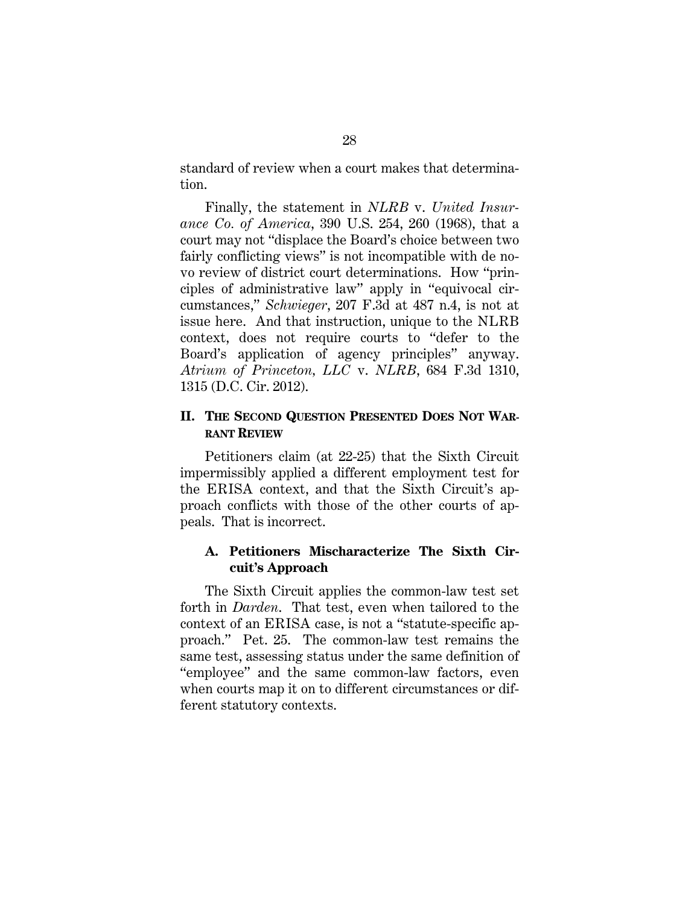standard of review when a court makes that determination.

Finally, the statement in *NLRB* v. *United Insurance Co. of America*, 390 U.S. 254, 260 (1968), that a court may not "displace the Board's choice between two fairly conflicting views" is not incompatible with de novo review of district court determinations. How "principles of administrative law" apply in "equivocal circumstances," *Schwieger*, 207 F.3d at 487 n.4, is not at issue here. And that instruction, unique to the NLRB context, does not require courts to "defer to the Board's application of agency principles" anyway. *Atrium of Princeton, LLC* v. *NLRB*, 684 F.3d 1310, 1315 (D.C. Cir. 2012).

### **II. THE SECOND QUESTION PRESENTED DOES NOT WAR-RANT REVIEW**

Petitioners claim (at 22-25) that the Sixth Circuit impermissibly applied a different employment test for the ERISA context, and that the Sixth Circuit's approach conflicts with those of the other courts of appeals. That is incorrect.

### **A. Petitioners Mischaracterize The Sixth Circuit's Approach**

The Sixth Circuit applies the common-law test set forth in *Darden*. That test, even when tailored to the context of an ERISA case, is not a "statute-specific approach." Pet. 25. The common-law test remains the same test, assessing status under the same definition of "employee" and the same common-law factors, even when courts map it on to different circumstances or different statutory contexts.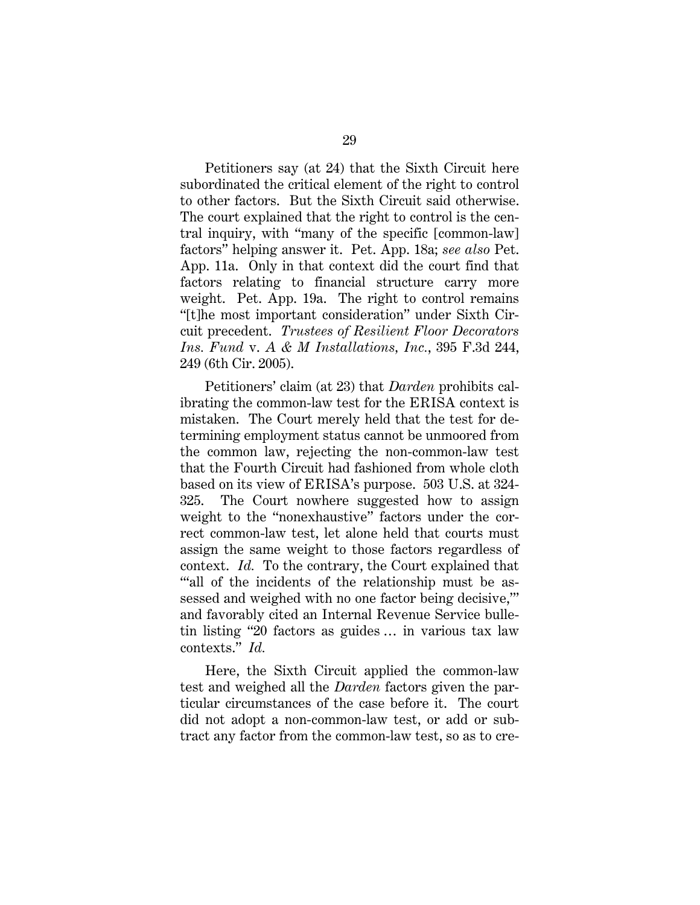Petitioners say (at 24) that the Sixth Circuit here subordinated the critical element of the right to control to other factors. But the Sixth Circuit said otherwise. The court explained that the right to control is the central inquiry, with "many of the specific [common-law] factors" helping answer it. Pet. App. 18a; *see also* Pet. App. 11a. Only in that context did the court find that factors relating to financial structure carry more weight. Pet. App. 19a. The right to control remains "[t]he most important consideration" under Sixth Circuit precedent. *Trustees of Resilient Floor Decorators Ins. Fund* v. *A & M Installations, Inc.*, 395 F.3d 244, 249 (6th Cir. 2005).

Petitioners' claim (at 23) that *Darden* prohibits calibrating the common-law test for the ERISA context is mistaken. The Court merely held that the test for determining employment status cannot be unmoored from the common law, rejecting the non-common-law test that the Fourth Circuit had fashioned from whole cloth based on its view of ERISA's purpose. 503 U.S. at 324- 325. The Court nowhere suggested how to assign weight to the "nonexhaustive" factors under the correct common-law test, let alone held that courts must assign the same weight to those factors regardless of context. *Id.* To the contrary, the Court explained that ""all of the incidents of the relationship must be assessed and weighed with no one factor being decisive,'" and favorably cited an Internal Revenue Service bulletin listing "20 factors as guides … in various tax law contexts." *Id.*

Here, the Sixth Circuit applied the common-law test and weighed all the *Darden* factors given the particular circumstances of the case before it. The court did not adopt a non-common-law test, or add or subtract any factor from the common-law test, so as to cre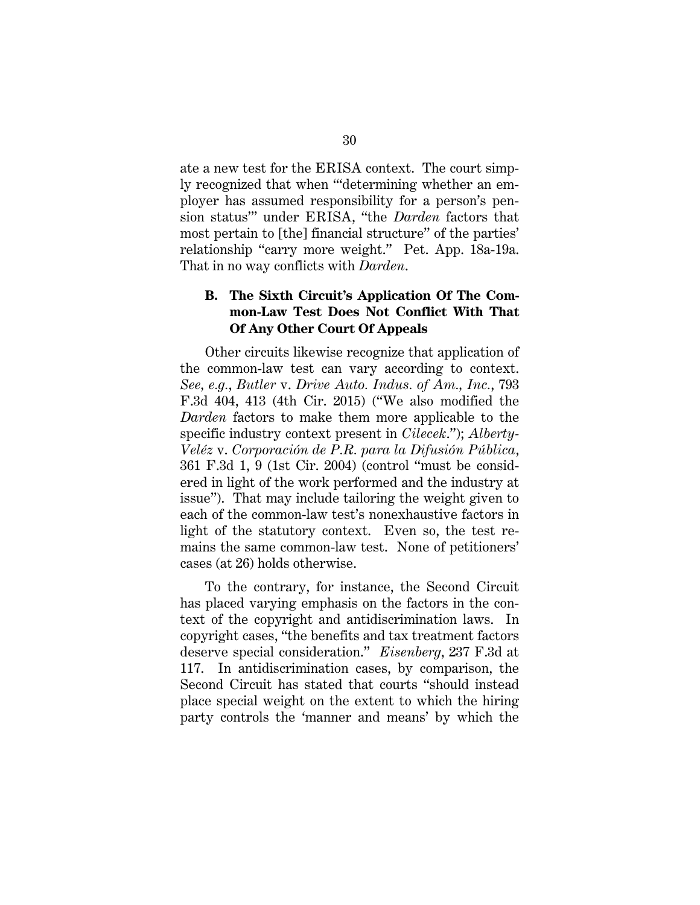ate a new test for the ERISA context. The court simply recognized that when "'determining whether an employer has assumed responsibility for a person's pension status'" under ERISA, "the *Darden* factors that most pertain to [the] financial structure" of the parties' relationship "carry more weight." Pet. App. 18a-19a. That in no way conflicts with *Darden*.

### **B. The Sixth Circuit's Application Of The Common-Law Test Does Not Conflict With That Of Any Other Court Of Appeals**

Other circuits likewise recognize that application of the common-law test can vary according to context. *See, e.g.*, *Butler* v. *Drive Auto. Indus. of Am., Inc.*, 793 F.3d 404, 413 (4th Cir. 2015) ("We also modified the *Darden* factors to make them more applicable to the specific industry context present in *Cilecek*."); *Alberty-Veléz* v. *Corporación de P.R. para la Difusión Pública*, 361 F.3d 1, 9 (1st Cir. 2004) (control "must be considered in light of the work performed and the industry at issue"). That may include tailoring the weight given to each of the common-law test's nonexhaustive factors in light of the statutory context. Even so, the test remains the same common-law test. None of petitioners' cases (at 26) holds otherwise.

To the contrary, for instance, the Second Circuit has placed varying emphasis on the factors in the context of the copyright and antidiscrimination laws. In copyright cases, "the benefits and tax treatment factors deserve special consideration." *Eisenberg*, 237 F.3d at 117. In antidiscrimination cases, by comparison, the Second Circuit has stated that courts "should instead place special weight on the extent to which the hiring party controls the 'manner and means' by which the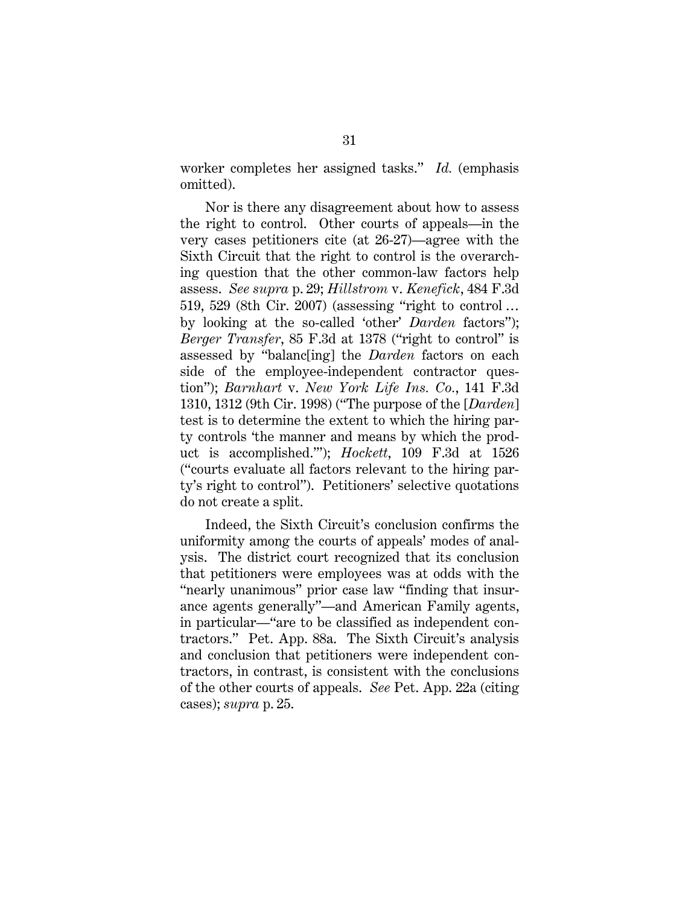worker completes her assigned tasks." *Id.* (emphasis omitted).

Nor is there any disagreement about how to assess the right to control. Other courts of appeals—in the very cases petitioners cite (at 26-27)—agree with the Sixth Circuit that the right to control is the overarching question that the other common-law factors help assess. *See supra* p. 29; *Hillstrom* v. *Kenefick*, 484 F.3d 519, 529 (8th Cir. 2007) (assessing "right to control … by looking at the so-called 'other' *Darden* factors"); *Berger Transfer*, 85 F.3d at 1378 ("right to control" is assessed by "balanc[ing] the *Darden* factors on each side of the employee-independent contractor question"); *Barnhart* v. *New York Life Ins. Co.*, 141 F.3d 1310, 1312 (9th Cir. 1998) ("The purpose of the [*Darden*] test is to determine the extent to which the hiring party controls 'the manner and means by which the product is accomplished.'"); *Hockett*, 109 F.3d at 1526 ("courts evaluate all factors relevant to the hiring party's right to control"). Petitioners' selective quotations do not create a split.

Indeed, the Sixth Circuit's conclusion confirms the uniformity among the courts of appeals' modes of analysis. The district court recognized that its conclusion that petitioners were employees was at odds with the "nearly unanimous" prior case law "finding that insurance agents generally"—and American Family agents, in particular—"are to be classified as independent contractors." Pet. App. 88a. The Sixth Circuit's analysis and conclusion that petitioners were independent contractors, in contrast, is consistent with the conclusions of the other courts of appeals. *See* Pet. App. 22a (citing cases); *supra* p. 25.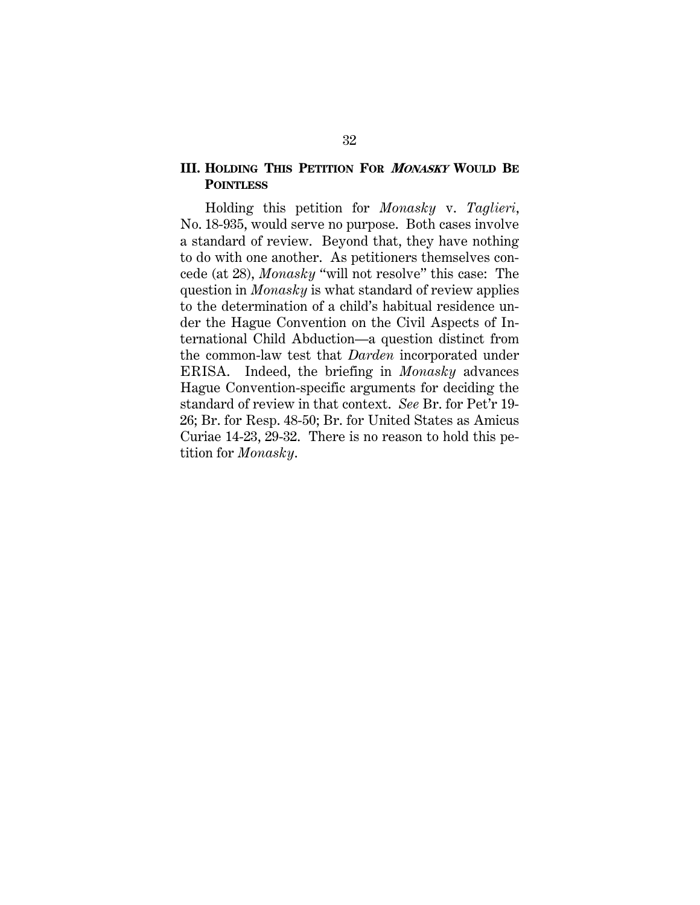### **III. HOLDING THIS PETITION FOR <sup>M</sup>ONASKY WOULD BE POINTLESS**

Holding this petition for *Monasky* v. *Taglieri*, No. 18-935, would serve no purpose. Both cases involve a standard of review. Beyond that, they have nothing to do with one another. As petitioners themselves concede (at 28), *Monasky* "will not resolve" this case: The question in *Monasky* is what standard of review applies to the determination of a child's habitual residence under the Hague Convention on the Civil Aspects of International Child Abduction—a question distinct from the common-law test that *Darden* incorporated under ERISA. Indeed, the briefing in *Monasky* advances Hague Convention-specific arguments for deciding the standard of review in that context. *See* Br. for Pet'r 19- 26; Br. for Resp. 48-50; Br. for United States as Amicus Curiae 14-23, 29-32. There is no reason to hold this petition for *Monasky*.